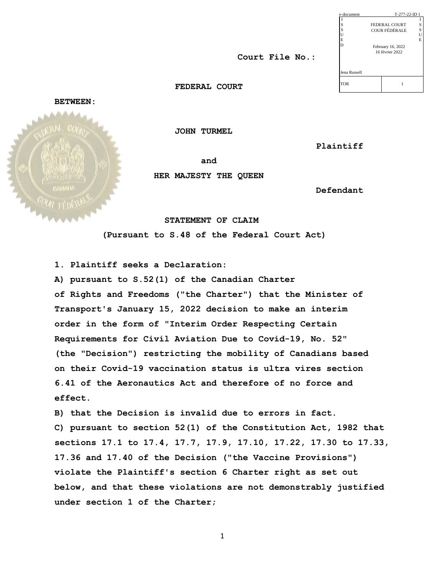| e-document   |                   | T-277-22-ID 1 |    |  |
|--------------|-------------------|---------------|----|--|
|              |                   |               | I  |  |
| S            |                   | FEDERAL COURT | S  |  |
| S            |                   | COUR FÉDÉRALE | S  |  |
| U            |                   |               | Ù  |  |
| E            |                   |               | Ē. |  |
| D            | February 16, 2022 |               |    |  |
|              | 16 février 2022   |               |    |  |
|              |                   |               |    |  |
| Jena Russell |                   |               |    |  |
| <b>TOR</b>   |                   |               |    |  |

 **Court File No.:**

 **FEDERAL COURT**

**BETWEEN:**

 **and**  $\left\| \begin{array}{ccc} \frac{1}{2} & \frac{1}{2} & \frac{1}{2} \\ \frac{1}{2} & \frac{1}{2} & \frac{1}{2} \end{array} \right\|_{\text{shift}}$ 

 **JOHN TURMEL** 

 **Plaintiff**

 **HER MAJESTY THE QUEEN**

 **Defendant**

 **STATEMENT OF CLAIM** 

 **(Pursuant to S.48 of the Federal Court Act)**

**1. Plaintiff seeks a Declaration:** 

**A) pursuant to S.52(1) of the Canadian Charter of Rights and Freedoms ("the Charter") that the Minister of Transport's January 15, 2022 decision to make an interim order in the form of "Interim Order Respecting Certain Requirements for Civil Aviation Due to Covid-19, No. 52" (the "Decision") restricting the mobility of Canadians based on their Covid-19 vaccination status is ultra vires section 6.41 of the Aeronautics Act and therefore of no force and effect.** 

**B) that the Decision is invalid due to errors in fact. C) pursuant to section 52(1) of the Constitution Act, 1982 that sections 17.1 to 17.4, 17.7, 17.9, 17.10, 17.22, 17.30 to 17.33, 17.36 and 17.40 of the Decision ("the Vaccine Provisions") violate the Plaintiff's section 6 Charter right as set out below, and that these violations are not demonstrably justified under section 1 of the Charter;**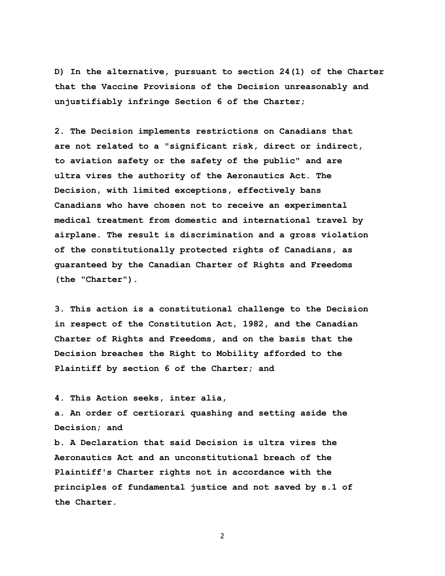**D) In the alternative, pursuant to section 24(1) of the Charter that the Vaccine Provisions of the Decision unreasonably and unjustifiably infringe Section 6 of the Charter;** 

**2. The Decision implements restrictions on Canadians that are not related to a "significant risk, direct or indirect, to aviation safety or the safety of the public" and are ultra vires the authority of the Aeronautics Act. The Decision, with limited exceptions, effectively bans Canadians who have chosen not to receive an experimental medical treatment from domestic and international travel by airplane. The result is discrimination and a gross violation of the constitutionally protected rights of Canadians, as guaranteed by the Canadian Charter of Rights and Freedoms (the "Charter").**

**3. This action is a constitutional challenge to the Decision in respect of the Constitution Act, 1982, and the Canadian Charter of Rights and Freedoms, and on the basis that the Decision breaches the Right to Mobility afforded to the Plaintiff by section 6 of the Charter; and**

**4. This Action seeks, inter alia,**

**a. An order of certiorari quashing and setting aside the Decision; and**

**b. A Declaration that said Decision is ultra vires the Aeronautics Act and an unconstitutional breach of the Plaintiff's Charter rights not in accordance with the principles of fundamental justice and not saved by s.1 of the Charter.**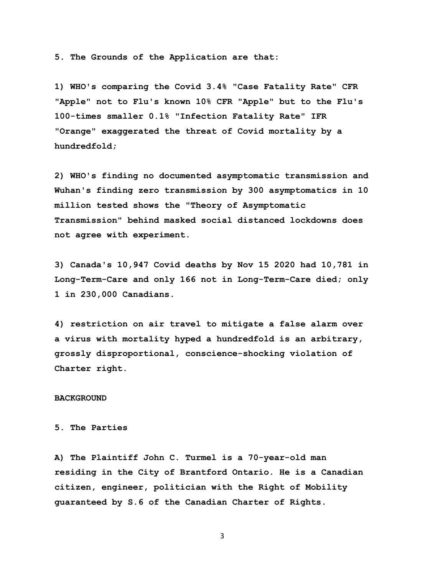**5. The Grounds of the Application are that:** 

**1) WHO's comparing the Covid 3.4% "Case Fatality Rate" CFR "Apple" not to Flu's known 10% CFR "Apple" but to the Flu's 100-times smaller 0.1% "Infection Fatality Rate" IFR "Orange" exaggerated the threat of Covid mortality by a hundredfold;**

**2) WHO's finding no documented asymptomatic transmission and Wuhan's finding zero transmission by 300 asymptomatics in 10 million tested shows the "Theory of Asymptomatic Transmission" behind masked social distanced lockdowns does not agree with experiment.** 

**3) Canada's 10,947 Covid deaths by Nov 15 2020 had 10,781 in Long-Term-Care and only 166 not in Long-Term-Care died; only 1 in 230,000 Canadians.** 

**4) restriction on air travel to mitigate a false alarm over a virus with mortality hyped a hundredfold is an arbitrary, grossly disproportional, conscience-shocking violation of Charter right.** 

#### **BACKGROUND**

## **5. The Parties**

**A) The Plaintiff John C. Turmel is a 70-year-old man residing in the City of Brantford Ontario. He is a Canadian citizen, engineer, politician with the Right of Mobility guaranteed by S.6 of the Canadian Charter of Rights.**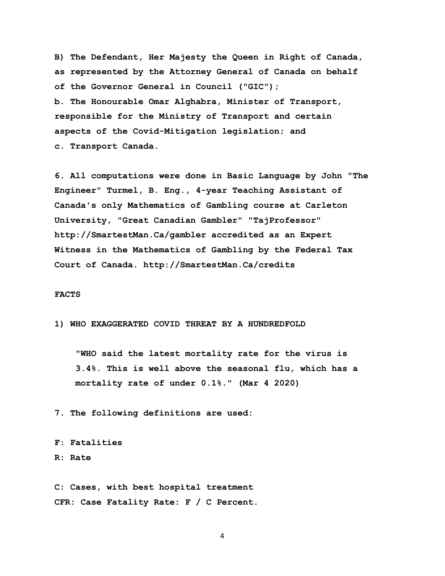**B) The Defendant, Her Majesty the Queen in Right of Canada, as represented by the Attorney General of Canada on behalf of the Governor General in Council ("GIC"); b. The Honourable Omar Alghabra, Minister of Transport, responsible for the Ministry of Transport and certain aspects of the Covid-Mitigation legislation; and c. Transport Canada.**

**6. All computations were done in Basic Language by John "The Engineer" Turmel, B. Eng., 4-year Teaching Assistant of Canada's only Mathematics of Gambling course at Carleton University, "Great Canadian Gambler" "TajProfessor" http://SmartestMan.Ca/gambler accredited as an Expert Witness in the Mathematics of Gambling by the Federal Tax Court of Canada. http://SmartestMan.Ca/credits** 

#### **FACTS**

**1) WHO EXAGGERATED COVID THREAT BY A HUNDREDFOLD**

 **"WHO said the latest mortality rate for the virus is 3.4%. This is well above the seasonal flu, which has a mortality rate of under 0.1%." (Mar 4 2020)**

**7. The following definitions are used:** 

# **F: Fatalities**

## **R: Rate**

**C: Cases, with best hospital treatment CFR: Case Fatality Rate: F / C Percent.**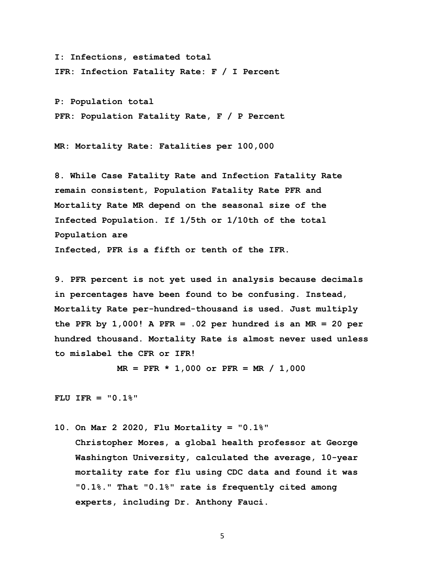**I: Infections, estimated total IFR: Infection Fatality Rate: F / I Percent**

**P: Population total PFR: Population Fatality Rate, F / P Percent** 

**MR: Mortality Rate: Fatalities per 100,000** 

**8. While Case Fatality Rate and Infection Fatality Rate remain consistent, Population Fatality Rate PFR and Mortality Rate MR depend on the seasonal size of the Infected Population. If 1/5th or 1/10th of the total Population are Infected, PFR is a fifth or tenth of the IFR.** 

**9. PFR percent is not yet used in analysis because decimals in percentages have been found to be confusing. Instead, Mortality Rate per-hundred-thousand is used. Just multiply the PFR by 1,000! A PFR = .02 per hundred is an MR = 20 per hundred thousand. Mortality Rate is almost never used unless to mislabel the CFR or IFR!** 

 **MR = PFR \* 1,000 or PFR = MR / 1,000** 

**FLU IFR = "0.1%"** 

**10. On Mar 2 2020, Flu Mortality = "0.1%"** 

 **Christopher Mores, a global health professor at George Washington University, calculated the average, 10-year mortality rate for flu using CDC data and found it was "0.1%." That "0.1%" rate is frequently cited among experts, including Dr. Anthony Fauci.**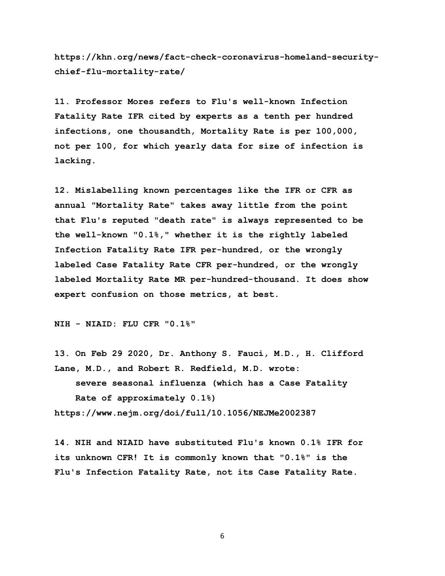**https://khn.org/news/fact-check-coronavirus-homeland-securitychief-flu-mortality-rate/** 

**11. Professor Mores refers to Flu's well-known Infection Fatality Rate IFR cited by experts as a tenth per hundred infections, one thousandth, Mortality Rate is per 100,000, not per 100, for which yearly data for size of infection is lacking.** 

**12. Mislabelling known percentages like the IFR or CFR as annual "Mortality Rate" takes away little from the point that Flu's reputed "death rate" is always represented to be the well-known "0.1%," whether it is the rightly labeled Infection Fatality Rate IFR per-hundred, or the wrongly labeled Case Fatality Rate CFR per-hundred, or the wrongly labeled Mortality Rate MR per-hundred-thousand. It does show expert confusion on those metrics, at best.** 

**NIH - NIAID: FLU CFR "0.1%"** 

**13. On Feb 29 2020, Dr. Anthony S. Fauci, M.D., H. Clifford Lane, M.D., and Robert R. Redfield, M.D. wrote:** 

 **severe seasonal influenza (which has a Case Fatality Rate of approximately 0.1%) https://www.nejm.org/doi/full/10.1056/NEJMe2002387** 

**14. NIH and NIAID have substituted Flu's known 0.1% IFR for its unknown CFR! It is commonly known that "0.1%" is the** 

**Flu's Infection Fatality Rate, not its Case Fatality Rate.**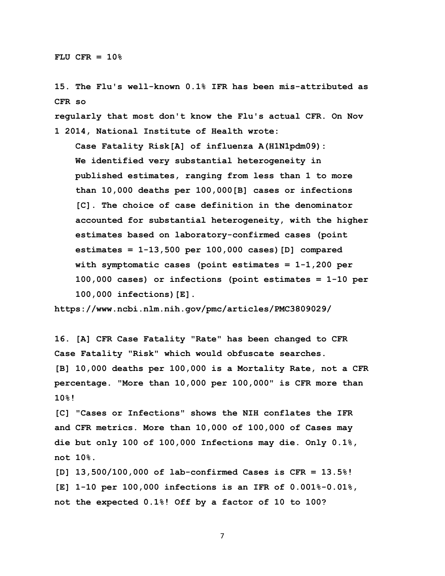**15. The Flu's well-known 0.1% IFR has been mis-attributed as CFR so** 

**regularly that most don't know the Flu's actual CFR. On Nov 1 2014, National Institute of Health wrote:** 

 **Case Fatality Risk[A] of influenza A(H1N1pdm09): We identified very substantial heterogeneity in published estimates, ranging from less than 1 to more than 10,000 deaths per 100,000[B] cases or infections [C]. The choice of case definition in the denominator accounted for substantial heterogeneity, with the higher estimates based on laboratory-confirmed cases (point estimates = 1-13,500 per 100,000 cases)[D] compared with symptomatic cases (point estimates = 1-1,200 per 100,000 cases) or infections (point estimates = 1-10 per 100,000 infections)[E].**

**https://www.ncbi.nlm.nih.gov/pmc/articles/PMC3809029/** 

**16. [A] CFR Case Fatality "Rate" has been changed to CFR Case Fatality "Risk" which would obfuscate searches. [B] 10,000 deaths per 100,000 is a Mortality Rate, not a CFR percentage. "More than 10,000 per 100,000" is CFR more than 10%!** 

**[C] "Cases or Infections" shows the NIH conflates the IFR and CFR metrics. More than 10,000 of 100,000 of Cases may die but only 100 of 100,000 Infections may die. Only 0.1%, not 10%.**

**[D] 13,500/100,000 of lab-confirmed Cases is CFR = 13.5%! [E] 1-10 per 100,000 infections is an IFR of 0.001%-0.01%, not the expected 0.1%! Off by a factor of 10 to 100?**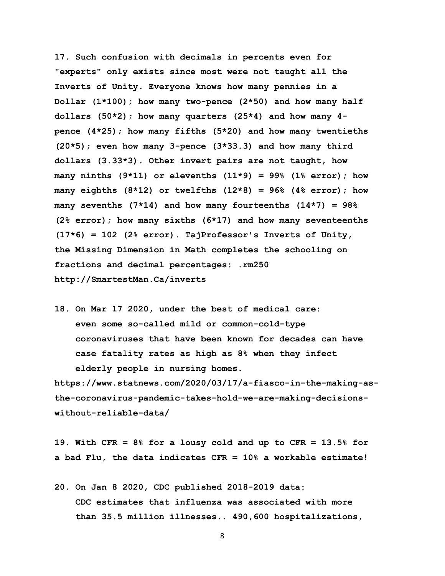**17. Such confusion with decimals in percents even for "experts" only exists since most were not taught all the Inverts of Unity. Everyone knows how many pennies in a Dollar (1\*100); how many two-pence (2\*50) and how many half dollars (50\*2); how many quarters (25\*4) and how many 4 pence (4\*25); how many fifths (5\*20) and how many twentieths (20\*5); even how many 3-pence (3\*33.3) and how many third dollars (3.33\*3). Other invert pairs are not taught, how many ninths (9\*11) or elevenths (11\*9) = 99% (1% error); how many eighths (8\*12) or twelfths (12\*8) = 96% (4% error); how many sevenths (7\*14) and how many fourteenths (14\*7) = 98% (2% error); how many sixths (6\*17) and how many seventeenths (17\*6) = 102 (2% error). TajProfessor's Inverts of Unity, the Missing Dimension in Math completes the schooling on fractions and decimal percentages: .rm250 http://SmartestMan.Ca/inverts** 

**18. On Mar 17 2020, under the best of medical care: even some so-called mild or common-cold-type coronaviruses that have been known for decades can have case fatality rates as high as 8% when they infect elderly people in nursing homes.** 

**https://www.statnews.com/2020/03/17/a-fiasco-in-the-making-asthe-coronavirus-pandemic-takes-hold-we-are-making-decisionswithout-reliable-data/** 

**19. With CFR = 8% for a lousy cold and up to CFR = 13.5% for a bad Flu, the data indicates CFR = 10% a workable estimate!** 

**20. On Jan 8 2020, CDC published 2018-2019 data: CDC estimates that influenza was associated with more than 35.5 million illnesses.. 490,600 hospitalizations,**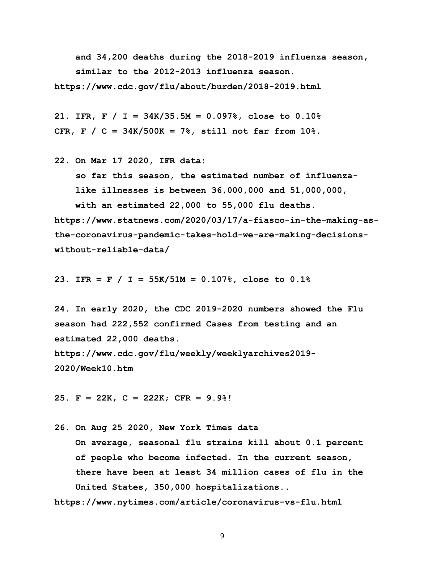**and 34,200 deaths during the 2018-2019 influenza season, similar to the 2012-2013 influenza season. https://www.cdc.gov/flu/about/burden/2018-2019.html** 

**21. IFR, F / I = 34K/35.5M = 0.097%, close to 0.10% CFR, F / C = 34K/500K = 7%, still not far from 10%.**

**22. On Mar 17 2020, IFR data:**

 **so far this season, the estimated number of influenza like illnesses is between 36,000,000 and 51,000,000, with an estimated 22,000 to 55,000 flu deaths. https://www.statnews.com/2020/03/17/a-fiasco-in-the-making-asthe-coronavirus-pandemic-takes-hold-we-are-making-decisionswithout-reliable-data/** 

**23. IFR = F / I = 55K/51M = 0.107%, close to 0.1%** 

**24. In early 2020, the CDC 2019-2020 numbers showed the Flu season had 222,552 confirmed Cases from testing and an estimated 22,000 deaths. https://www.cdc.gov/flu/weekly/weeklyarchives2019- 2020/Week10.htm**

**25. F = 22K, C = 222K; CFR = 9.9%!** 

**26. On Aug 25 2020, New York Times data On average, seasonal flu strains kill about 0.1 percent of people who become infected. In the current season, there have been at least 34 million cases of flu in the United States, 350,000 hospitalizations..**

**https://www.nytimes.com/article/coronavirus-vs-flu.html**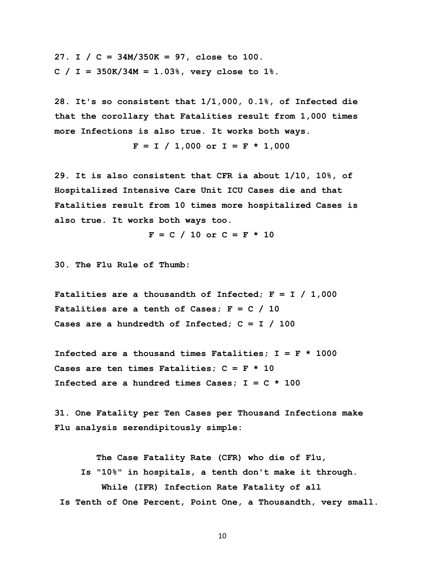**27. I / C = 34M/350K = 97, close to 100. C / I = 350K/34M = 1.03%, very close to 1%.** 

**28. It's so consistent that 1/1,000, 0.1%, of Infected die that the corollary that Fatalities result from 1,000 times more Infections is also true. It works both ways.** 

 $F = I / 1,000$  or  $I = F * 1,000$ 

**29. It is also consistent that CFR ia about 1/10, 10%, of Hospitalized Intensive Care Unit ICU Cases die and that Fatalities result from 10 times more hospitalized Cases is also true. It works both ways too.** 

 $F = C / 10$  or  $C = F * 10$ 

**30. The Flu Rule of Thumb:** 

**Fatalities are a thousandth of Infected; F = I / 1,000 Fatalities are a tenth of Cases; F = C / 10 Cases are a hundredth of Infected; C = I / 100** 

**Infected are a thousand times Fatalities; I = F \* 1000 Cases are ten times Fatalities; C = F \* 10 Infected are a hundred times Cases; I = C \* 100**

**31. One Fatality per Ten Cases per Thousand Infections make Flu analysis serendipitously simple:** 

 **The Case Fatality Rate (CFR) who die of Flu, Is "10%" in hospitals, a tenth don't make it through. While (IFR) Infection Rate Fatality of all Is Tenth of One Percent, Point One, a Thousandth, very small.**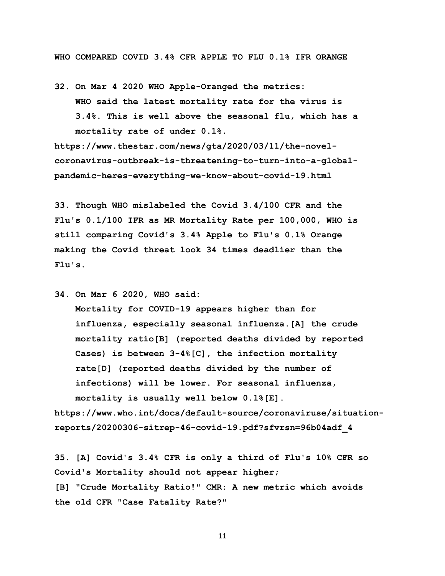**WHO COMPARED COVID 3.4% CFR APPLE TO FLU 0.1% IFR ORANGE**

**32. On Mar 4 2020 WHO Apple-Oranged the metrics: WHO said the latest mortality rate for the virus is 3.4%. This is well above the seasonal flu, which has a mortality rate of under 0.1%.**

**https://www.thestar.com/news/gta/2020/03/11/the-novelcoronavirus-outbreak-is-threatening-to-turn-into-a-globalpandemic-heres-everything-we-know-about-covid-19.html** 

**33. Though WHO mislabeled the Covid 3.4/100 CFR and the Flu's 0.1/100 IFR as MR Mortality Rate per 100,000, WHO is still comparing Covid's 3.4% Apple to Flu's 0.1% Orange making the Covid threat look 34 times deadlier than the Flu's.** 

**34. On Mar 6 2020, WHO said:** 

 **Mortality for COVID-19 appears higher than for influenza, especially seasonal influenza.[A] the crude mortality ratio[B] (reported deaths divided by reported Cases) is between 3-4%[C], the infection mortality rate[D] (reported deaths divided by the number of infections) will be lower. For seasonal influenza, mortality is usually well below 0.1%[E].** 

**https://www.who.int/docs/default-source/coronaviruse/situationreports/20200306-sitrep-46-covid-19.pdf?sfvrsn=96b04adf\_4** 

**35. [A] Covid's 3.4% CFR is only a third of Flu's 10% CFR so Covid's Mortality should not appear higher; [B] "Crude Mortality Ratio!" CMR: A new metric which avoids the old CFR "Case Fatality Rate?"**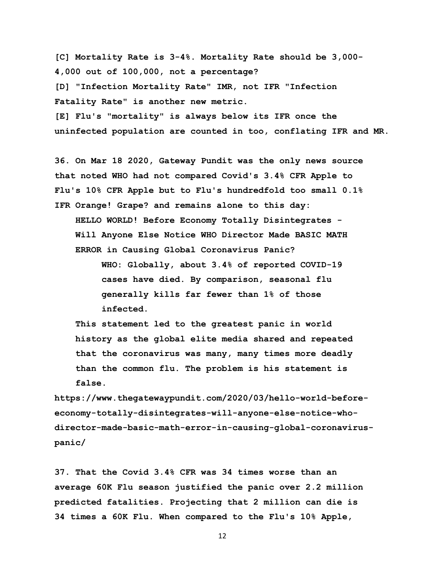**[C] Mortality Rate is 3-4%. Mortality Rate should be 3,000- 4,000 out of 100,000, not a percentage? [D] "Infection Mortality Rate" IMR, not IFR "Infection Fatality Rate" is another new metric. [E] Flu's "mortality" is always below its IFR once the** 

**uninfected population are counted in too, conflating IFR and MR.** 

**36. On Mar 18 2020, Gateway Pundit was the only news source that noted WHO had not compared Covid's 3.4% CFR Apple to Flu's 10% CFR Apple but to Flu's hundredfold too small 0.1% IFR Orange! Grape? and remains alone to this day: HELLO WORLD! Before Economy Totally Disintegrates - Will Anyone Else Notice WHO Director Made BASIC MATH ERROR in Causing Global Coronavirus Panic?**

> **WHO: Globally, about 3.4% of reported COVID-19 cases have died. By comparison, seasonal flu generally kills far fewer than 1% of those infected.**

 **This statement led to the greatest panic in world history as the global elite media shared and repeated that the coronavirus was many, many times more deadly than the common flu. The problem is his statement is false.**

**https://www.thegatewaypundit.com/2020/03/hello-world-beforeeconomy-totally-disintegrates-will-anyone-else-notice-whodirector-made-basic-math-error-in-causing-global-coronaviruspanic/** 

**37. That the Covid 3.4% CFR was 34 times worse than an average 60K Flu season justified the panic over 2.2 million predicted fatalities. Projecting that 2 million can die is 34 times a 60K Flu. When compared to the Flu's 10% Apple,**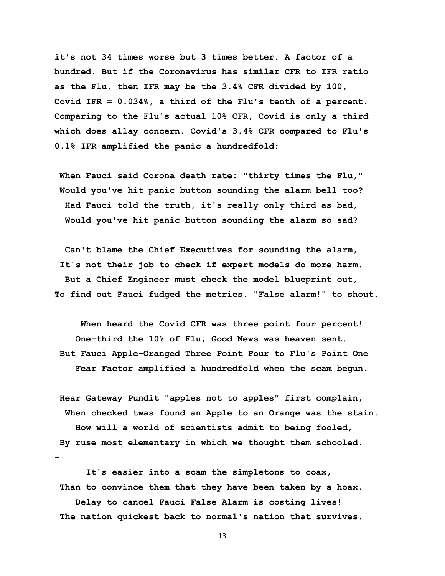**it's not 34 times worse but 3 times better. A factor of a hundred. But if the Coronavirus has similar CFR to IFR ratio as the Flu, then IFR may be the 3.4% CFR divided by 100, Covid IFR = 0.034%, a third of the Flu's tenth of a percent. Comparing to the Flu's actual 10% CFR, Covid is only a third which does allay concern. Covid's 3.4% CFR compared to Flu's 0.1% IFR amplified the panic a hundredfold:** 

**When Fauci said Corona death rate: "thirty times the Flu," Would you've hit panic button sounding the alarm bell too? Had Fauci told the truth, it's really only third as bad, Would you've hit panic button sounding the alarm so sad?**

 **Can't blame the Chief Executives for sounding the alarm, It's not their job to check if expert models do more harm. But a Chief Engineer must check the model blueprint out, To find out Fauci fudged the metrics. "False alarm!" to shout.**

 **When heard the Covid CFR was three point four percent! One-third the 10% of Flu, Good News was heaven sent. But Fauci Apple-Oranged Three Point Four to Flu's Point One Fear Factor amplified a hundredfold when the scam begun.** 

**Hear Gateway Pundit "apples not to apples" first complain, When checked twas found an Apple to an Orange was the stain. How will a world of scientists admit to being fooled, By ruse most elementary in which we thought them schooled. -**

 **It's easier into a scam the simpletons to coax, Than to convince them that they have been taken by a hoax.**

 **Delay to cancel Fauci False Alarm is costing lives! The nation quickest back to normal's nation that survives.**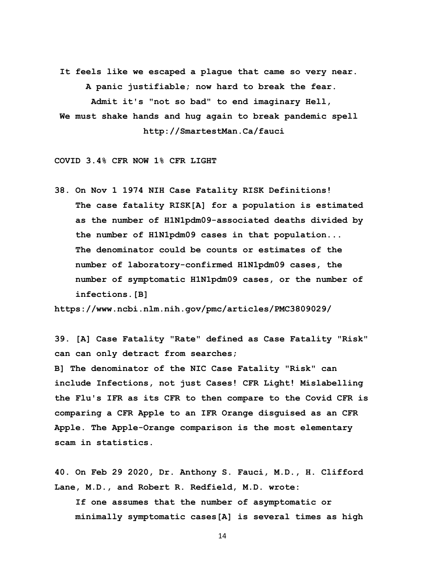**It feels like we escaped a plague that came so very near. A panic justifiable; now hard to break the fear. Admit it's "not so bad" to end imaginary Hell, We must shake hands and hug again to break pandemic spell http://SmartestMan.Ca/fauci** 

**COVID 3.4% CFR NOW 1% CFR LIGHT** 

**38. On Nov 1 1974 NIH Case Fatality RISK Definitions! The case fatality RISK[A] for a population is estimated as the number of H1N1pdm09-associated deaths divided by the number of H1N1pdm09 cases in that population... The denominator could be counts or estimates of the number of laboratory-confirmed H1N1pdm09 cases, the number of symptomatic H1N1pdm09 cases, or the number of infections.[B]** 

**https://www.ncbi.nlm.nih.gov/pmc/articles/PMC3809029/** 

**39. [A] Case Fatality "Rate" defined as Case Fatality "Risk" can can only detract from searches;** 

**B] The denominator of the NIC Case Fatality "Risk" can include Infections, not just Cases! CFR Light! Mislabelling the Flu's IFR as its CFR to then compare to the Covid CFR is comparing a CFR Apple to an IFR Orange disguised as an CFR Apple. The Apple-Orange comparison is the most elementary scam in statistics.**

**40. On Feb 29 2020, Dr. Anthony S. Fauci, M.D., H. Clifford Lane, M.D., and Robert R. Redfield, M.D. wrote:** 

 **If one assumes that the number of asymptomatic or minimally symptomatic cases[A] is several times as high**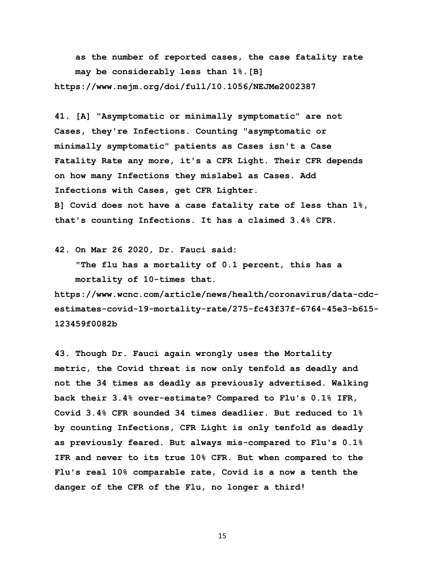**as the number of reported cases, the case fatality rate may be considerably less than 1%.[B] https://www.nejm.org/doi/full/10.1056/NEJMe2002387** 

**41. [A] "Asymptomatic or minimally symptomatic" are not Cases, they're Infections. Counting "asymptomatic or minimally symptomatic" patients as Cases isn't a Case Fatality Rate any more, it's a CFR Light. Their CFR depends on how many Infections they mislabel as Cases. Add Infections with Cases, get CFR Lighter. B] Covid does not have a case fatality rate of less than 1%, that's counting Infections. It has a claimed 3.4% CFR.** 

**42. On Mar 26 2020, Dr. Fauci said:** 

 **"The flu has a mortality of 0.1 percent, this has a mortality of 10-times that.**

**https://www.wcnc.com/article/news/health/coronavirus/data-cdcestimates-covid-19-mortality-rate/275-fc43f37f-6764-45e3-b615- 123459f0082b** 

**43. Though Dr. Fauci again wrongly uses the Mortality metric, the Covid threat is now only tenfold as deadly and not the 34 times as deadly as previously advertised. Walking back their 3.4% over-estimate? Compared to Flu's 0.1% IFR, Covid 3.4% CFR sounded 34 times deadlier. But reduced to 1% by counting Infections, CFR Light is only tenfold as deadly as previously feared. But always mis-compared to Flu's 0.1% IFR and never to its true 10% CFR. But when compared to the Flu's real 10% comparable rate, Covid is a now a tenth the danger of the CFR of the Flu, no longer a third!**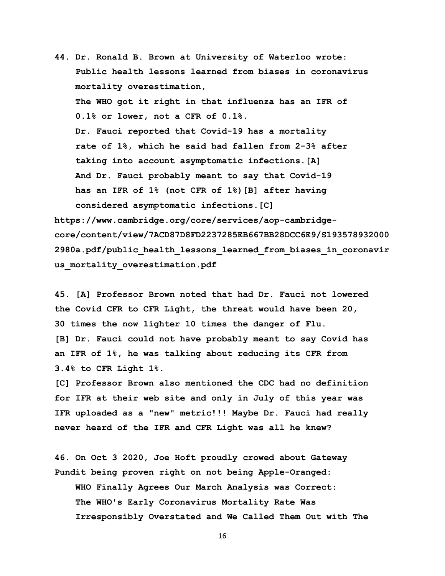**44. Dr. Ronald B. Brown at University of Waterloo wrote: Public health lessons learned from biases in coronavirus mortality overestimation, The WHO got it right in that influenza has an IFR of 0.1% or lower, not a CFR of 0.1%. Dr. Fauci reported that Covid-19 has a mortality rate of 1%, which he said had fallen from 2-3% after taking into account asymptomatic infections.[A] And Dr. Fauci probably meant to say that Covid-19 has an IFR of 1% (not CFR of 1%)[B] after having considered asymptomatic infections.[C]** 

**https://www.cambridge.org/core/services/aop-cambridgecore/content/view/7ACD87D8FD2237285EB667BB28DCC6E9/S193578932000 2980a.pdf/public\_health\_lessons\_learned\_from\_biases\_in\_coronavir us\_mortality\_overestimation.pdf** 

**45. [A] Professor Brown noted that had Dr. Fauci not lowered the Covid CFR to CFR Light, the threat would have been 20, 30 times the now lighter 10 times the danger of Flu. [B] Dr. Fauci could not have probably meant to say Covid has an IFR of 1%, he was talking about reducing its CFR from 3.4% to CFR Light 1%.** 

**[C] Professor Brown also mentioned the CDC had no definition for IFR at their web site and only in July of this year was IFR uploaded as a "new" metric!!! Maybe Dr. Fauci had really never heard of the IFR and CFR Light was all he knew?** 

**46. On Oct 3 2020, Joe Hoft proudly crowed about Gateway Pundit being proven right on not being Apple-Oranged: WHO Finally Agrees Our March Analysis was Correct: The WHO's Early Coronavirus Mortality Rate Was Irresponsibly Overstated and We Called Them Out with The**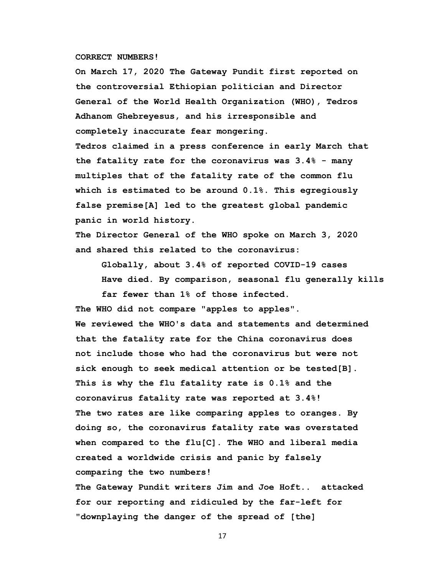## **CORRECT NUMBERS!**

 **On March 17, 2020 The Gateway Pundit first reported on the controversial Ethiopian politician and Director General of the World Health Organization (WHO), Tedros Adhanom Ghebreyesus, and his irresponsible and completely inaccurate fear mongering.**

 **Tedros claimed in a press conference in early March that the fatality rate for the coronavirus was 3.4% - many multiples that of the fatality rate of the common flu which is estimated to be around 0.1%. This egregiously false premise[A] led to the greatest global pandemic panic in world history.**

 **The Director General of the WHO spoke on March 3, 2020 and shared this related to the coronavirus:** 

 **Globally, about 3.4% of reported COVID-19 cases Have died. By comparison, seasonal flu generally kills far fewer than 1% of those infected.**

 **The WHO did not compare "apples to apples". We reviewed the WHO's data and statements and determined that the fatality rate for the China coronavirus does not include those who had the coronavirus but were not sick enough to seek medical attention or be tested[B]. This is why the flu fatality rate is 0.1% and the coronavirus fatality rate was reported at 3.4%! The two rates are like comparing apples to oranges. By doing so, the coronavirus fatality rate was overstated when compared to the flu[C]. The WHO and liberal media created a worldwide crisis and panic by falsely comparing the two numbers!**

 **The Gateway Pundit writers Jim and Joe Hoft.. attacked for our reporting and ridiculed by the far-left for "downplaying the danger of the spread of [the]**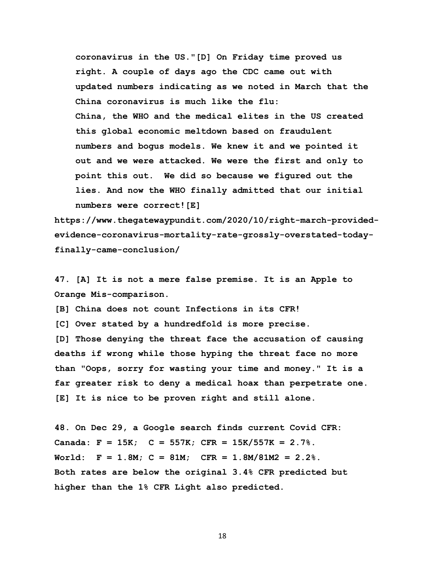**coronavirus in the US."[D] On Friday time proved us right. A couple of days ago the CDC came out with updated numbers indicating as we noted in March that the China coronavirus is much like the flu: China, the WHO and the medical elites in the US created this global economic meltdown based on fraudulent numbers and bogus models. We knew it and we pointed it out and we were attacked. We were the first and only to point this out. We did so because we figured out the lies. And now the WHO finally admitted that our initial numbers were correct![E]**

**https://www.thegatewaypundit.com/2020/10/right-march-providedevidence-coronavirus-mortality-rate-grossly-overstated-todayfinally-came-conclusion/** 

**47. [A] It is not a mere false premise. It is an Apple to Orange Mis-comparison.** 

**[B] China does not count Infections in its CFR!** 

**[C] Over stated by a hundredfold is more precise.** 

**[D] Those denying the threat face the accusation of causing deaths if wrong while those hyping the threat face no more than "Oops, sorry for wasting your time and money." It is a far greater risk to deny a medical hoax than perpetrate one. [E] It is nice to be proven right and still alone.** 

**48. On Dec 29, a Google search finds current Covid CFR: Canada: F = 15K; C = 557K; CFR = 15K/557K = 2.7%. World: F = 1.8M; C = 81M; CFR = 1.8M/81M2 = 2.2%. Both rates are below the original 3.4% CFR predicted but higher than the 1% CFR Light also predicted.**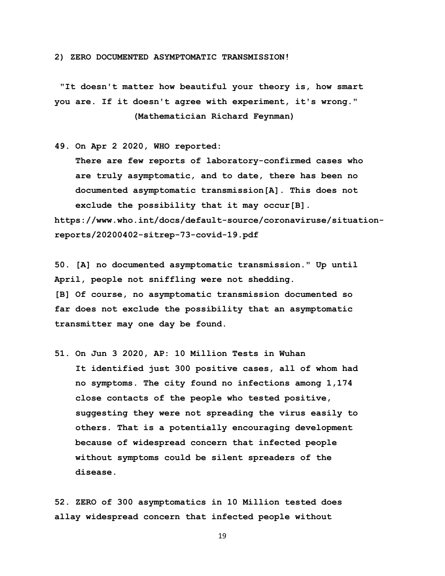**2) ZERO DOCUMENTED ASYMPTOMATIC TRANSMISSION!** 

**"It doesn't matter how beautiful your theory is, how smart you are. If it doesn't agree with experiment, it's wrong." (Mathematician Richard Feynman)** 

**49. On Apr 2 2020, WHO reported:** 

 **There are few reports of laboratory-confirmed cases who are truly asymptomatic, and to date, there has been no documented asymptomatic transmission[A]. This does not exclude the possibility that it may occur[B]. https://www.who.int/docs/default-source/coronaviruse/situationreports/20200402-sitrep-73-covid-19.pdf** 

**50. [A] no documented asymptomatic transmission." Up until April, people not sniffling were not shedding. [B] Of course, no asymptomatic transmission documented so far does not exclude the possibility that an asymptomatic transmitter may one day be found.** 

**51. On Jun 3 2020, AP: 10 Million Tests in Wuhan It identified just 300 positive cases, all of whom had no symptoms. The city found no infections among 1,174 close contacts of the people who tested positive, suggesting they were not spreading the virus easily to others. That is a potentially encouraging development because of widespread concern that infected people without symptoms could be silent spreaders of the disease.**

**52. ZERO of 300 asymptomatics in 10 Million tested does allay widespread concern that infected people without**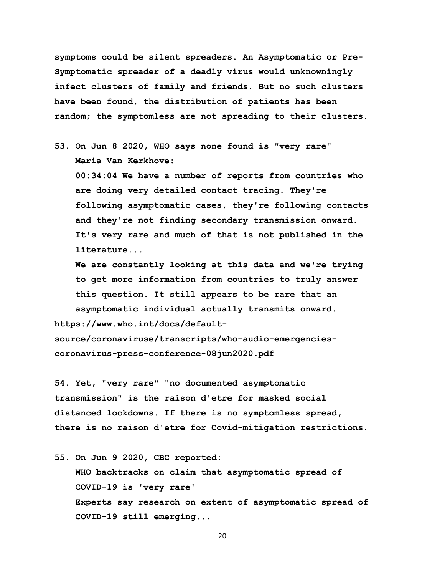**symptoms could be silent spreaders. An Asymptomatic or Pre-Symptomatic spreader of a deadly virus would unknowningly infect clusters of family and friends. But no such clusters have been found, the distribution of patients has been random; the symptomless are not spreading to their clusters.** 

**53. On Jun 8 2020, WHO says none found is "very rare" Maria Van Kerkhove:** 

 **00:34:04 We have a number of reports from countries who are doing very detailed contact tracing. They're following asymptomatic cases, they're following contacts and they're not finding secondary transmission onward. It's very rare and much of that is not published in the literature...** 

 **We are constantly looking at this data and we're trying to get more information from countries to truly answer this question. It still appears to be rare that an asymptomatic individual actually transmits onward.**

**https://www.who.int/docs/default-**

**source/coronaviruse/transcripts/who-audio-emergenciescoronavirus-press-conference-08jun2020.pdf** 

**54. Yet, "very rare" "no documented asymptomatic transmission" is the raison d'etre for masked social distanced lockdowns. If there is no symptomless spread, there is no raison d'etre for Covid-mitigation restrictions.** 

**55. On Jun 9 2020, CBC reported:** 

 **WHO backtracks on claim that asymptomatic spread of COVID-19 is 'very rare' Experts say research on extent of asymptomatic spread of COVID-19 still emerging...**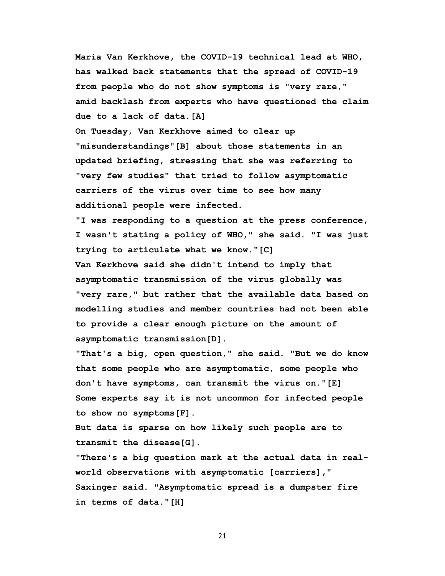**Maria Van Kerkhove, the COVID-19 technical lead at WHO, has walked back statements that the spread of COVID-19 from people who do not show symptoms is "very rare," amid backlash from experts who have questioned the claim due to a lack of data.[A]** 

 **On Tuesday, Van Kerkhove aimed to clear up "misunderstandings"[B] about those statements in an updated briefing, stressing that she was referring to "very few studies" that tried to follow asymptomatic carriers of the virus over time to see how many additional people were infected.** 

 **"I was responding to a question at the press conference, I wasn't stating a policy of WHO," she said. "I was just trying to articulate what we know."[C] Van Kerkhove said she didn't intend to imply that asymptomatic transmission of the virus globally was "very rare," but rather that the available data based on modelling studies and member countries had not been able to provide a clear enough picture on the amount of asymptomatic transmission[D].** 

 **"That's a big, open question," she said. "But we do know that some people who are asymptomatic, some people who don't have symptoms, can transmit the virus on."[E] Some experts say it is not uncommon for infected people to show no symptoms[F].**

 **But data is sparse on how likely such people are to transmit the disease[G].**

 **"There's a big question mark at the actual data in real world observations with asymptomatic [carriers]," Saxinger said. "Asymptomatic spread is a dumpster fire in terms of data."[H]**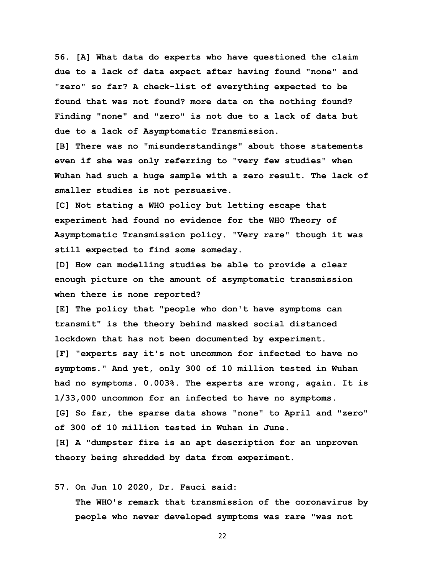**56. [A] What data do experts who have questioned the claim due to a lack of data expect after having found "none" and "zero" so far? A check-list of everything expected to be found that was not found? more data on the nothing found? Finding "none" and "zero" is not due to a lack of data but due to a lack of Asymptomatic Transmission.** 

**[B] There was no "misunderstandings" about those statements even if she was only referring to "very few studies" when Wuhan had such a huge sample with a zero result. The lack of smaller studies is not persuasive.**

**[C] Not stating a WHO policy but letting escape that experiment had found no evidence for the WHO Theory of Asymptomatic Transmission policy. "Very rare" though it was still expected to find some someday.** 

**[D] How can modelling studies be able to provide a clear enough picture on the amount of asymptomatic transmission when there is none reported?** 

**[E] The policy that "people who don't have symptoms can transmit" is the theory behind masked social distanced lockdown that has not been documented by experiment. [F] "experts say it's not uncommon for infected to have no symptoms." And yet, only 300 of 10 million tested in Wuhan had no symptoms. 0.003%. The experts are wrong, again. It is 1/33,000 uncommon for an infected to have no symptoms. [G] So far, the sparse data shows "none" to April and "zero" of 300 of 10 million tested in Wuhan in June. [H] A "dumpster fire is an apt description for an unproven theory being shredded by data from experiment.** 

#### **57. On Jun 10 2020, Dr. Fauci said:**

 **The WHO's remark that transmission of the coronavirus by people who never developed symptoms was rare "was not**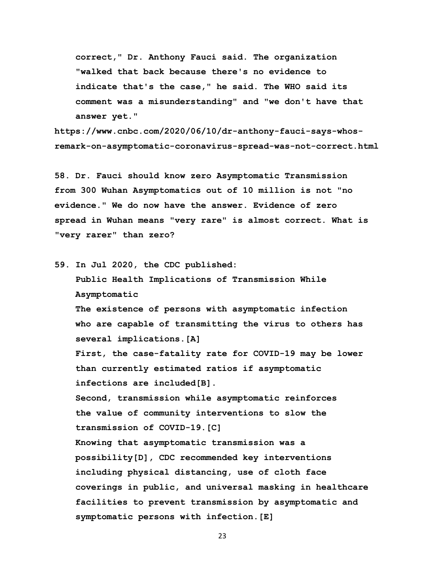**correct," Dr. Anthony Fauci said. The organization "walked that back because there's no evidence to indicate that's the case," he said. The WHO said its comment was a misunderstanding" and "we don't have that answer yet."**

**https://www.cnbc.com/2020/06/10/dr-anthony-fauci-says-whosremark-on-asymptomatic-coronavirus-spread-was-not-correct.html** 

**58. Dr. Fauci should know zero Asymptomatic Transmission from 300 Wuhan Asymptomatics out of 10 million is not "no evidence." We do now have the answer. Evidence of zero spread in Wuhan means "very rare" is almost correct. What is "very rarer" than zero?** 

**59. In Jul 2020, the CDC published:** 

 **Public Health Implications of Transmission While Asymptomatic**

 **The existence of persons with asymptomatic infection who are capable of transmitting the virus to others has several implications.[A]** 

 **First, the case-fatality rate for COVID-19 may be lower than currently estimated ratios if asymptomatic infections are included[B].** 

 **Second, transmission while asymptomatic reinforces the value of community interventions to slow the transmission of COVID-19.[C]** 

 **Knowing that asymptomatic transmission was a possibility[D], CDC recommended key interventions including physical distancing, use of cloth face coverings in public, and universal masking in healthcare facilities to prevent transmission by asymptomatic and symptomatic persons with infection.[E]**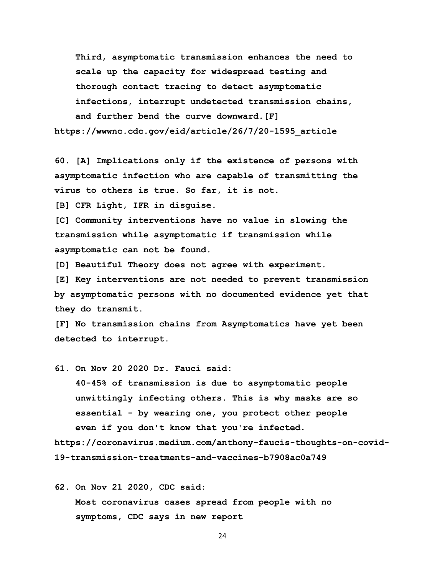**Third, asymptomatic transmission enhances the need to scale up the capacity for widespread testing and thorough contact tracing to detect asymptomatic infections, interrupt undetected transmission chains, and further bend the curve downward.[F] https://wwwnc.cdc.gov/eid/article/26/7/20-1595\_article** 

**60. [A] Implications only if the existence of persons with asymptomatic infection who are capable of transmitting the virus to others is true. So far, it is not.** 

**[B] CFR Light, IFR in disguise.** 

**[C] Community interventions have no value in slowing the transmission while asymptomatic if transmission while asymptomatic can not be found.** 

**[D] Beautiful Theory does not agree with experiment.** 

**[E] Key interventions are not needed to prevent transmission by asymptomatic persons with no documented evidence yet that they do transmit.** 

**[F] No transmission chains from Asymptomatics have yet been detected to interrupt.** 

**61. On Nov 20 2020 Dr. Fauci said:**

 **40-45% of transmission is due to asymptomatic people unwittingly infecting others. This is why masks are so essential - by wearing one, you protect other people even if you don't know that you're infected.**

**https://coronavirus.medium.com/anthony-faucis-thoughts-on-covid-19-transmission-treatments-and-vaccines-b7908ac0a749** 

**62. On Nov 21 2020, CDC said:**

 **Most coronavirus cases spread from people with no symptoms, CDC says in new report**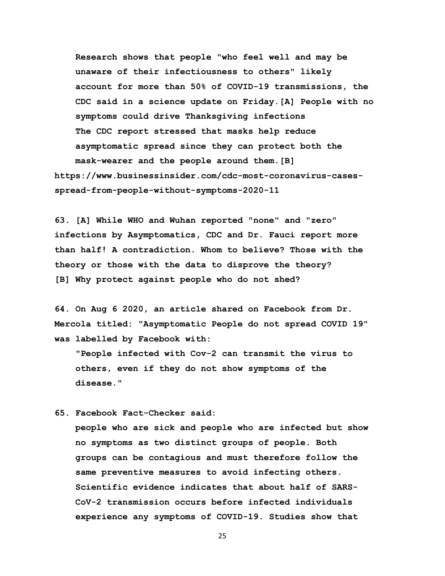**Research shows that people "who feel well and may be unaware of their infectiousness to others" likely account for more than 50% of COVID-19 transmissions, the CDC said in a science update on Friday.[A] People with no symptoms could drive Thanksgiving infections The CDC report stressed that masks help reduce asymptomatic spread since they can protect both the mask-wearer and the people around them.[B] https://www.businessinsider.com/cdc-most-coronavirus-casesspread-from-people-without-symptoms-2020-11** 

**63. [A] While WHO and Wuhan reported "none" and "zero" infections by Asymptomatics, CDC and Dr. Fauci report more than half! A contradiction. Whom to believe? Those with the theory or those with the data to disprove the theory? [B] Why protect against people who do not shed?**

**64. On Aug 6 2020, an article shared on Facebook from Dr. Mercola titled: "Asymptomatic People do not spread COVID 19" was labelled by Facebook with:** 

 **"People infected with Cov-2 can transmit the virus to others, even if they do not show symptoms of the disease."** 

**65. Facebook Fact-Checker said:** 

 **people who are sick and people who are infected but show no symptoms as two distinct groups of people. Both groups can be contagious and must therefore follow the same preventive measures to avoid infecting others. Scientific evidence indicates that about half of SARS- CoV-2 transmission occurs before infected individuals experience any symptoms of COVID-19. Studies show that**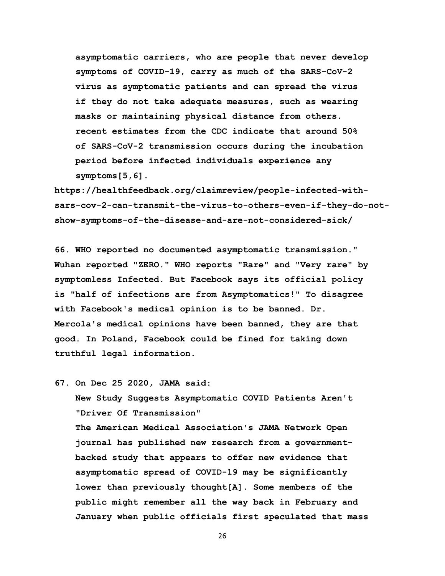**asymptomatic carriers, who are people that never develop symptoms of COVID-19, carry as much of the SARS-CoV-2 virus as symptomatic patients and can spread the virus if they do not take adequate measures, such as wearing masks or maintaining physical distance from others. recent estimates from the CDC indicate that around 50% of SARS-CoV-2 transmission occurs during the incubation period before infected individuals experience any symptoms[5,6].** 

**https://healthfeedback.org/claimreview/people-infected-withsars-cov-2-can-transmit-the-virus-to-others-even-if-they-do-notshow-symptoms-of-the-disease-and-are-not-considered-sick/** 

**66. WHO reported no documented asymptomatic transmission." Wuhan reported "ZERO." WHO reports "Rare" and "Very rare" by symptomless Infected. But Facebook says its official policy is "half of infections are from Asymptomatics!" To disagree with Facebook's medical opinion is to be banned. Dr. Mercola's medical opinions have been banned, they are that good. In Poland, Facebook could be fined for taking down truthful legal information.** 

**67. On Dec 25 2020, JAMA said:** 

 **New Study Suggests Asymptomatic COVID Patients Aren't "Driver Of Transmission"**

 **The American Medical Association's JAMA Network Open journal has published new research from a government backed study that appears to offer new evidence that asymptomatic spread of COVID-19 may be significantly lower than previously thought[A]. Some members of the public might remember all the way back in February and January when public officials first speculated that mass**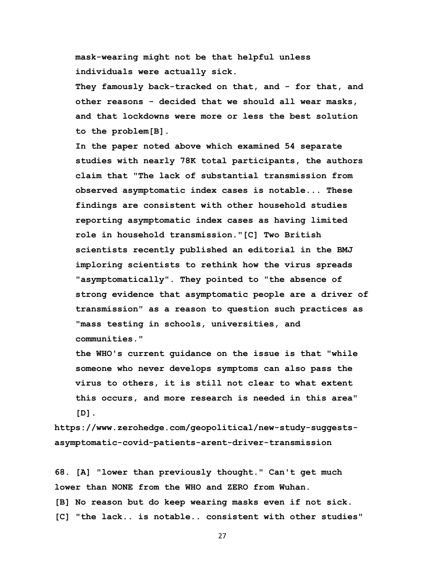**mask-wearing might not be that helpful unless individuals were actually sick.** 

 **They famously back-tracked on that, and - for that, and other reasons - decided that we should all wear masks, and that lockdowns were more or less the best solution to the problem[B].**

 **In the paper noted above which examined 54 separate studies with nearly 78K total participants, the authors claim that "The lack of substantial transmission from observed asymptomatic index cases is notable... These findings are consistent with other household studies reporting asymptomatic index cases as having limited role in household transmission."[C] Two British scientists recently published an editorial in the BMJ imploring scientists to rethink how the virus spreads "asymptomatically". They pointed to "the absence of strong evidence that asymptomatic people are a driver of transmission" as a reason to question such practices as "mass testing in schools, universities, and communities."**

 **the WHO's current guidance on the issue is that "while someone who never develops symptoms can also pass the virus to others, it is still not clear to what extent this occurs, and more research is needed in this area" [D].**

**https://www.zerohedge.com/geopolitical/new-study-suggestsasymptomatic-covid-patients-arent-driver-transmission** 

**68. [A] "lower than previously thought." Can't get much lower than NONE from the WHO and ZERO from Wuhan. [B] No reason but do keep wearing masks even if not sick. [C] "the lack.. is notable.. consistent with other studies"**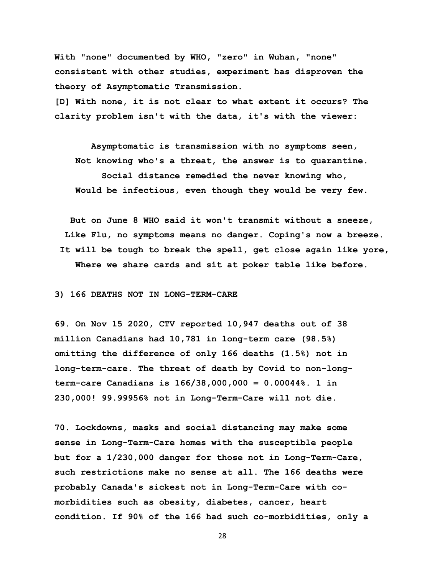**With "none" documented by WHO, "zero" in Wuhan, "none" consistent with other studies, experiment has disproven the theory of Asymptomatic Transmission.** 

**[D] With none, it is not clear to what extent it occurs? The clarity problem isn't with the data, it's with the viewer:** 

 **Asymptomatic is transmission with no symptoms seen, Not knowing who's a threat, the answer is to quarantine. Social distance remedied the never knowing who, Would be infectious, even though they would be very few.**

 **But on June 8 WHO said it won't transmit without a sneeze, Like Flu, no symptoms means no danger. Coping's now a breeze. It will be tough to break the spell, get close again like yore, Where we share cards and sit at poker table like before.**

#### **3) 166 DEATHS NOT IN LONG-TERM-CARE**

**69. On Nov 15 2020, CTV reported 10,947 deaths out of 38 million Canadians had 10,781 in long-term care (98.5%) omitting the difference of only 166 deaths (1.5%) not in long-term-care. The threat of death by Covid to non-longterm-care Canadians is 166/38,000,000 = 0.00044%. 1 in 230,000! 99.99956% not in Long-Term-Care will not die.** 

**70. Lockdowns, masks and social distancing may make some sense in Long-Term-Care homes with the susceptible people but for a 1/230,000 danger for those not in Long-Term-Care, such restrictions make no sense at all. The 166 deaths were probably Canada's sickest not in Long-Term-Care with comorbidities such as obesity, diabetes, cancer, heart condition. If 90% of the 166 had such co-morbidities, only a**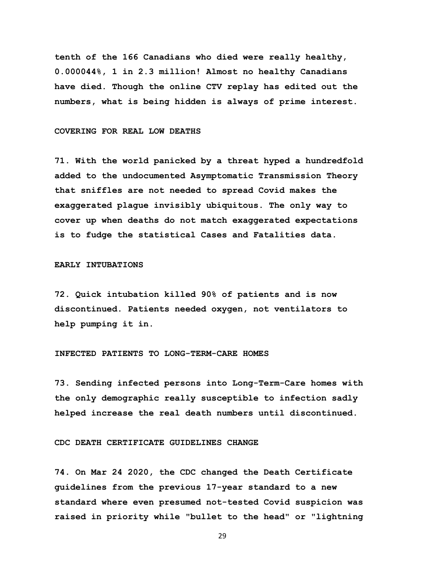**tenth of the 166 Canadians who died were really healthy, 0.000044%, 1 in 2.3 million! Almost no healthy Canadians have died. Though the online CTV replay has edited out the numbers, what is being hidden is always of prime interest.** 

#### COVERING FOR REAL LOW DEATHS

**71. With the world panicked by a threat hyped a hundredfold added to the undocumented Asymptomatic Transmission Theory that sniffles are not needed to spread Covid makes the exaggerated plague invisibly ubiquitous. The only way to cover up when deaths do not match exaggerated expectations is to fudge the statistical Cases and Fatalities data.** 

## **EARLY INTUBATIONS**

**72. Quick intubation killed 90% of patients and is now discontinued. Patients needed oxygen, not ventilators to help pumping it in.** 

## **INFECTED PATIENTS TO LONG-TERM-CARE HOMES**

**73. Sending infected persons into Long-Term-Care homes with the only demographic really susceptible to infection sadly helped increase the real death numbers until discontinued.** 

## **CDC DEATH CERTIFICATE GUIDELINES CHANGE**

**74. On Mar 24 2020, the CDC changed the Death Certificate guidelines from the previous 17-year standard to a new standard where even presumed not-tested Covid suspicion was raised in priority while "bullet to the head" or "lightning**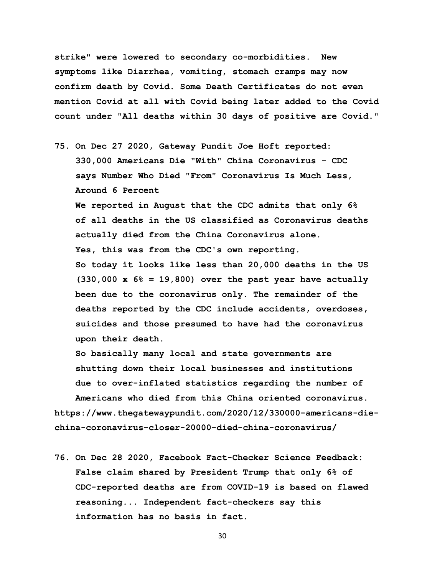**strike" were lowered to secondary co-morbidities. New symptoms like Diarrhea, vomiting, stomach cramps may now confirm death by Covid. Some Death Certificates do not even mention Covid at all with Covid being later added to the Covid count under "All deaths within 30 days of positive are Covid."** 

**75. On Dec 27 2020, Gateway Pundit Joe Hoft reported: 330,000 Americans Die "With" China Coronavirus - CDC says Number Who Died "From" Coronavirus Is Much Less, Around 6 Percent We reported in August that the CDC admits that only 6% of all deaths in the US classified as Coronavirus deaths actually died from the China Coronavirus alone. Yes, this was from the CDC's own reporting. So today it looks like less than 20,000 deaths in the US (330,000 x 6% = 19,800) over the past year have actually been due to the coronavirus only. The remainder of the deaths reported by the CDC include accidents, overdoses, suicides and those presumed to have had the coronavirus upon their death.**

 **So basically many local and state governments are shutting down their local businesses and institutions due to over-inflated statistics regarding the number of Americans who died from this China oriented coronavirus. https://www.thegatewaypundit.com/2020/12/330000-americans-diechina-coronavirus-closer-20000-died-china-coronavirus/** 

**76. On Dec 28 2020, Facebook Fact-Checker Science Feedback: False claim shared by President Trump that only 6% of CDC-reported deaths are from COVID-19 is based on flawed reasoning... Independent fact-checkers say this information has no basis in fact.**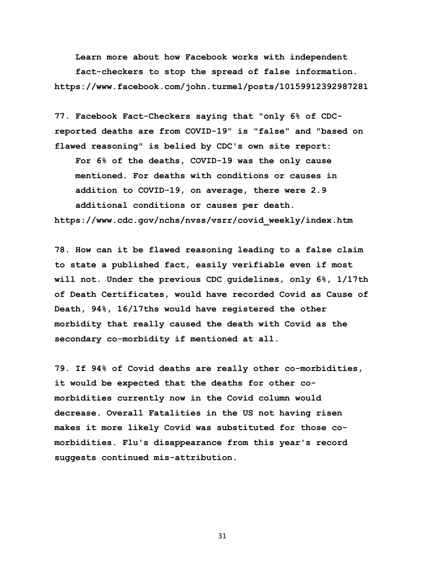**Learn more about how Facebook works with independent** 

 **fact-checkers to stop the spread of false information. https://www.facebook.com/john.turmel/posts/10159912392987281** 

**77. Facebook Fact-Checkers saying that "only 6% of CDCreported deaths are from COVID-19" is "false" and "based on flawed reasoning" is belied by CDC's own site report: For 6% of the deaths, COVID-19 was the only cause mentioned. For deaths with conditions or causes in addition to COVID-19, on average, there were 2.9 additional conditions or causes per death. https://www.cdc.gov/nchs/nvss/vsrr/covid\_weekly/index.htm** 

**78. How can it be flawed reasoning leading to a false claim to state a published fact, easily verifiable even if most will not. Under the previous CDC guidelines, only 6%, 1/17th of Death Certificates, would have recorded Covid as Cause of Death, 94%, 16/17ths would have registered the other morbidity that really caused the death with Covid as the secondary co-morbidity if mentioned at all.** 

**79. If 94% of Covid deaths are really other co-morbidities, it would be expected that the deaths for other comorbidities currently now in the Covid column would decrease. Overall Fatalities in the US not having risen makes it more likely Covid was substituted for those comorbidities. Flu's disappearance from this year's record suggests continued mis-attribution.**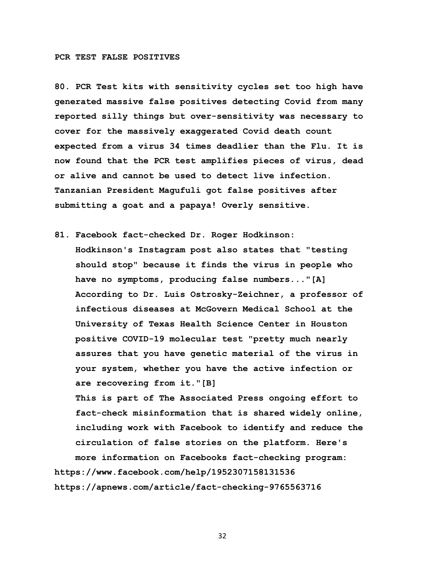## **PCR TEST FALSE POSITIVES**

**80. PCR Test kits with sensitivity cycles set too high have generated massive false positives detecting Covid from many reported silly things but over-sensitivity was necessary to cover for the massively exaggerated Covid death count expected from a virus 34 times deadlier than the Flu. It is now found that the PCR test amplifies pieces of virus, dead or alive and cannot be used to detect live infection. Tanzanian President Magufuli got false positives after submitting a goat and a papaya! Overly sensitive.** 

**81. Facebook fact-checked Dr. Roger Hodkinson: Hodkinson's Instagram post also states that "testing should stop" because it finds the virus in people who have no symptoms, producing false numbers..."[A] According to Dr. Luis Ostrosky-Zeichner, a professor of infectious diseases at McGovern Medical School at the University of Texas Health Science Center in Houston positive COVID-19 molecular test "pretty much nearly assures that you have genetic material of the virus in your system, whether you have the active infection or are recovering from it."[B]** 

 **This is part of The Associated Press ongoing effort to fact-check misinformation that is shared widely online, including work with Facebook to identify and reduce the circulation of false stories on the platform. Here's more information on Facebooks fact-checking program: https://www.facebook.com/help/1952307158131536** 

**https://apnews.com/article/fact-checking-9765563716**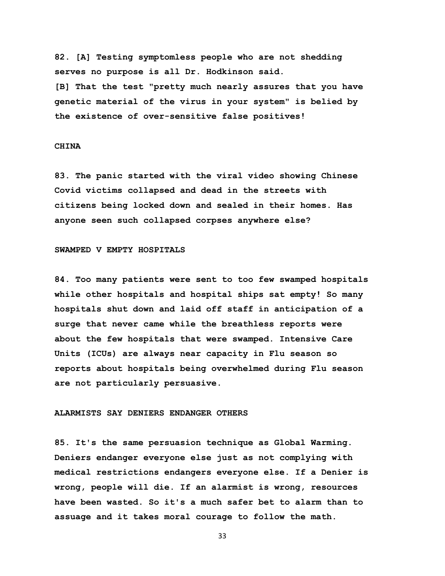**82. [A] Testing symptomless people who are not shedding serves no purpose is all Dr. Hodkinson said. [B] That the test "pretty much nearly assures that you have genetic material of the virus in your system" is belied by the existence of over-sensitive false positives!**

## **CHINA**

**83. The panic started with the viral video showing Chinese Covid victims collapsed and dead in the streets with citizens being locked down and sealed in their homes. Has anyone seen such collapsed corpses anywhere else?** 

## **SWAMPED V EMPTY HOSPITALS**

**84. Too many patients were sent to too few swamped hospitals while other hospitals and hospital ships sat empty! So many hospitals shut down and laid off staff in anticipation of a surge that never came while the breathless reports were about the few hospitals that were swamped. Intensive Care Units (ICUs) are always near capacity in Flu season so reports about hospitals being overwhelmed during Flu season are not particularly persuasive.** 

#### **ALARMISTS SAY DENIERS ENDANGER OTHERS**

**85. It's the same persuasion technique as Global Warming. Deniers endanger everyone else just as not complying with medical restrictions endangers everyone else. If a Denier is wrong, people will die. If an alarmist is wrong, resources have been wasted. So it's a much safer bet to alarm than to assuage and it takes moral courage to follow the math.**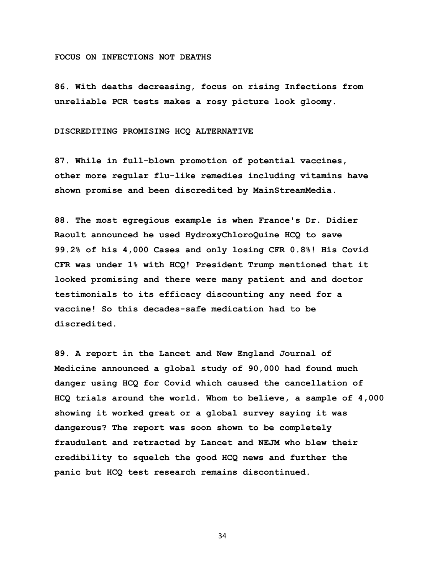#### **FOCUS ON INFECTIONS NOT DEATHS**

**86. With deaths decreasing, focus on rising Infections from unreliable PCR tests makes a rosy picture look gloomy.** 

#### **DISCREDITING PROMISING HCQ ALTERNATIVE**

**87. While in full-blown promotion of potential vaccines, other more regular flu-like remedies including vitamins have shown promise and been discredited by MainStreamMedia.** 

**88. The most egregious example is when France's Dr. Didier Raoult announced he used HydroxyChloroQuine HCQ to save 99.2% of his 4,000 Cases and only losing CFR 0.8%! His Covid CFR was under 1% with HCQ! President Trump mentioned that it looked promising and there were many patient and and doctor testimonials to its efficacy discounting any need for a vaccine! So this decades-safe medication had to be discredited.** 

**89. A report in the Lancet and New England Journal of Medicine announced a global study of 90,000 had found much danger using HCQ for Covid which caused the cancellation of HCQ trials around the world. Whom to believe, a sample of 4,000 showing it worked great or a global survey saying it was dangerous? The report was soon shown to be completely fraudulent and retracted by Lancet and NEJM who blew their credibility to squelch the good HCQ news and further the panic but HCQ test research remains discontinued.**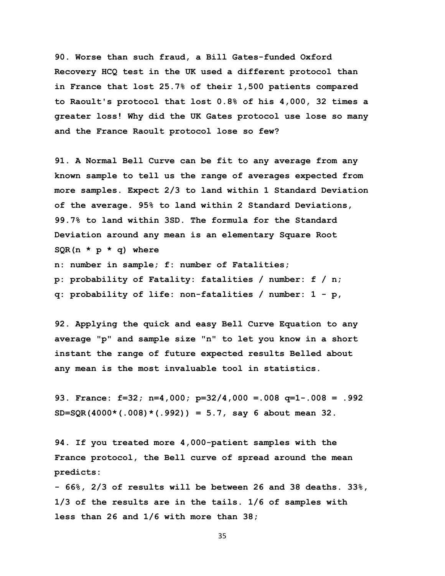**90. Worse than such fraud, a Bill Gates-funded Oxford Recovery HCQ test in the UK used a different protocol than in France that lost 25.7% of their 1,500 patients compared to Raoult's protocol that lost 0.8% of his 4,000, 32 times a greater loss! Why did the UK Gates protocol use lose so many and the France Raoult protocol lose so few?**

**91. A Normal Bell Curve can be fit to any average from any known sample to tell us the range of averages expected from more samples. Expect 2/3 to land within 1 Standard Deviation of the average. 95% to land within 2 Standard Deviations, 99.7% to land within 3SD. The formula for the Standard Deviation around any mean is an elementary Square Root SQR(n \* p \* q) where n: number in sample; f: number of Fatalities; p: probability of Fatality: fatalities / number: f / n; q: probability of life: non-fatalities / number: 1 - p,**

**92. Applying the quick and easy Bell Curve Equation to any average "p" and sample size "n" to let you know in a short instant the range of future expected results Belled about any mean is the most invaluable tool in statistics.** 

**93. France: f=32; n=4,000; p=32/4,000 =.008 q=1-.008 = .992 SD=SQR(4000\*(.008)\*(.992)) = 5.7, say 6 about mean 32.** 

**94. If you treated more 4,000-patient samples with the France protocol, the Bell curve of spread around the mean predicts:** 

**- 66%, 2/3 of results will be between 26 and 38 deaths. 33%, 1/3 of the results are in the tails. 1/6 of samples with less than 26 and 1/6 with more than 38;**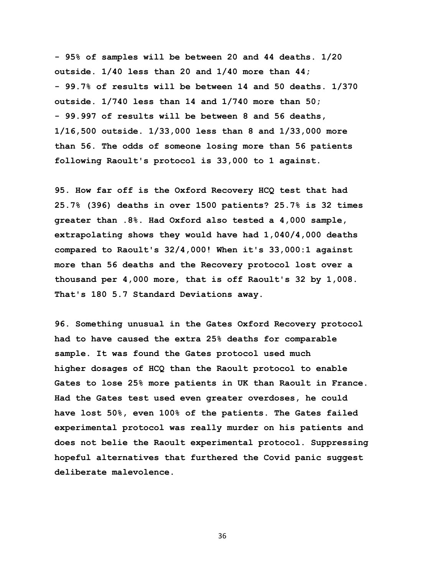**- 95% of samples will be between 20 and 44 deaths. 1/20 outside. 1/40 less than 20 and 1/40 more than 44; - 99.7% of results will be between 14 and 50 deaths. 1/370 outside. 1/740 less than 14 and 1/740 more than 50; - 99.997 of results will be between 8 and 56 deaths, 1/16,500 outside. 1/33,000 less than 8 and 1/33,000 more than 56. The odds of someone losing more than 56 patients following Raoult's protocol is 33,000 to 1 against.**

**95. How far off is the Oxford Recovery HCQ test that had 25.7% (396) deaths in over 1500 patients? 25.7% is 32 times greater than .8%. Had Oxford also tested a 4,000 sample, extrapolating shows they would have had 1,040/4,000 deaths compared to Raoult's 32/4,000! When it's 33,000:1 against more than 56 deaths and the Recovery protocol lost over a thousand per 4,000 more, that is off Raoult's 32 by 1,008. That's 180 5.7 Standard Deviations away.** 

**96. Something unusual in the Gates Oxford Recovery protocol had to have caused the extra 25% deaths for comparable sample. It was found the Gates protocol used much higher dosages of HCQ than the Raoult protocol to enable Gates to lose 25% more patients in UK than Raoult in France. Had the Gates test used even greater overdoses, he could have lost 50%, even 100% of the patients. The Gates failed experimental protocol was really murder on his patients and does not belie the Raoult experimental protocol. Suppressing hopeful alternatives that furthered the Covid panic suggest deliberate malevolence.**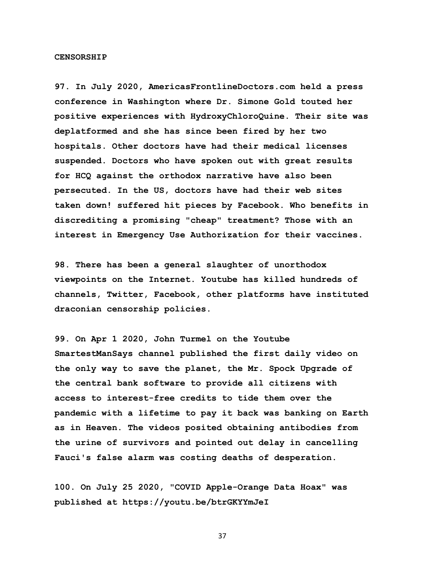#### **CENSORSHIP**

**97. In July 2020, AmericasFrontlineDoctors.com held a press conference in Washington where Dr. Simone Gold touted her positive experiences with HydroxyChloroQuine. Their site was deplatformed and she has since been fired by her two hospitals. Other doctors have had their medical licenses suspended. Doctors who have spoken out with great results for HCQ against the orthodox narrative have also been persecuted. In the US, doctors have had their web sites taken down! suffered hit pieces by Facebook. Who benefits in discrediting a promising "cheap" treatment? Those with an interest in Emergency Use Authorization for their vaccines.** 

**98. There has been a general slaughter of unorthodox viewpoints on the Internet. Youtube has killed hundreds of channels, Twitter, Facebook, other platforms have instituted draconian censorship policies.** 

**99. On Apr 1 2020, John Turmel on the Youtube SmartestManSays channel published the first daily video on the only way to save the planet, the Mr. Spock Upgrade of the central bank software to provide all citizens with access to interest-free credits to tide them over the pandemic with a lifetime to pay it back was banking on Earth as in Heaven. The videos posited obtaining antibodies from the urine of survivors and pointed out delay in cancelling Fauci's false alarm was costing deaths of desperation.** 

**100. On July 25 2020, "COVID Apple-Orange Data Hoax" was published at https://youtu.be/btrGKYYmJeI**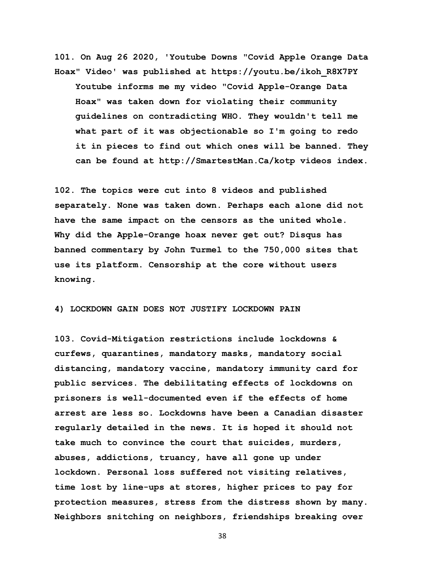**101. On Aug 26 2020, 'Youtube Downs "Covid Apple Orange Data Hoax" Video' was published at https://youtu.be/ikoh\_R8X7PY Youtube informs me my video "Covid Apple-Orange Data Hoax" was taken down for violating their community guidelines on contradicting WHO. They wouldn't tell me what part of it was objectionable so I'm going to redo it in pieces to find out which ones will be banned. They can be found at http://SmartestMan.Ca/kotp videos index.**

**102. The topics were cut into 8 videos and published separately. None was taken down. Perhaps each alone did not have the same impact on the censors as the united whole. Why did the Apple-Orange hoax never get out? Disqus has banned commentary by John Turmel to the 750,000 sites that use its platform. Censorship at the core without users knowing.** 

## **4) LOCKDOWN GAIN DOES NOT JUSTIFY LOCKDOWN PAIN**

**103. Covid-Mitigation restrictions include lockdowns & curfews, quarantines, mandatory masks, mandatory social distancing, mandatory vaccine, mandatory immunity card for public services. The debilitating effects of lockdowns on prisoners is well-documented even if the effects of home arrest are less so. Lockdowns have been a Canadian disaster regularly detailed in the news. It is hoped it should not take much to convince the court that suicides, murders, abuses, addictions, truancy, have all gone up under lockdown. Personal loss suffered not visiting relatives, time lost by line-ups at stores, higher prices to pay for protection measures, stress from the distress shown by many. Neighbors snitching on neighbors, friendships breaking over**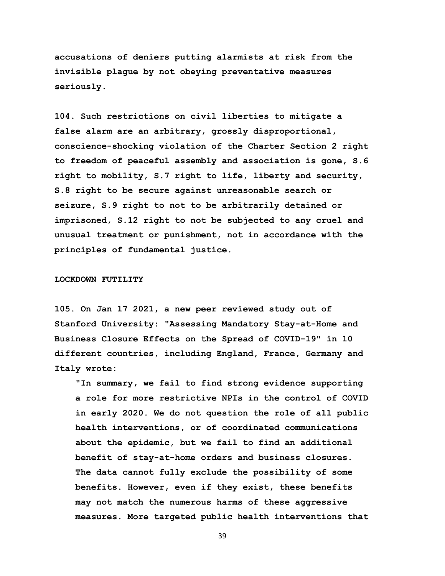**accusations of deniers putting alarmists at risk from the invisible plague by not obeying preventative measures seriously.** 

**104. Such restrictions on civil liberties to mitigate a false alarm are an arbitrary, grossly disproportional, conscience-shocking violation of the Charter Section 2 right to freedom of peaceful assembly and association is gone, S.6 right to mobility, S.7 right to life, liberty and security, S.8 right to be secure against unreasonable search or seizure, S.9 right to not to be arbitrarily detained or imprisoned, S.12 right to not be subjected to any cruel and unusual treatment or punishment, not in accordance with the principles of fundamental justice.** 

### **LOCKDOWN FUTILITY**

**105. On Jan 17 2021, a new peer reviewed study out of Stanford University: "Assessing Mandatory Stay-at-Home and Business Closure Effects on the Spread of COVID-19" in 10 different countries, including England, France, Germany and Italy wrote:** 

 **"In summary, we fail to find strong evidence supporting a role for more restrictive NPIs in the control of COVID in early 2020. We do not question the role of all public health interventions, or of coordinated communications about the epidemic, but we fail to find an additional benefit of stay-at-home orders and business closures. The data cannot fully exclude the possibility of some benefits. However, even if they exist, these benefits may not match the numerous harms of these aggressive measures. More targeted public health interventions that**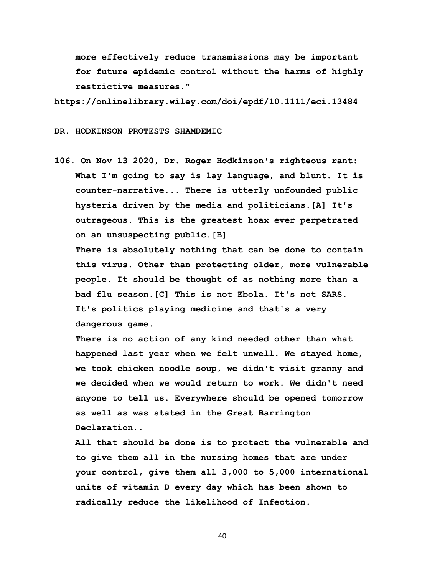**more effectively reduce transmissions may be important for future epidemic control without the harms of highly restrictive measures."**

**https://onlinelibrary.wiley.com/doi/epdf/10.1111/eci.13484** 

#### **DR. HODKINSON PROTESTS SHAMDEMIC**

**106. On Nov 13 2020, Dr. Roger Hodkinson's righteous rant: What I'm going to say is lay language, and blunt. It is counter-narrative... There is utterly unfounded public hysteria driven by the media and politicians.[A] It's outrageous. This is the greatest hoax ever perpetrated on an unsuspecting public.[B]** 

 **There is absolutely nothing that can be done to contain this virus. Other than protecting older, more vulnerable people. It should be thought of as nothing more than a bad flu season.[C] This is not Ebola. It's not SARS. It's politics playing medicine and that's a very dangerous game.**

 **There is no action of any kind needed other than what happened last year when we felt unwell. We stayed home, we took chicken noodle soup, we didn't visit granny and we decided when we would return to work. We didn't need anyone to tell us. Everywhere should be opened tomorrow as well as was stated in the Great Barrington Declaration..**

 **All that should be done is to protect the vulnerable and to give them all in the nursing homes that are under your control, give them all 3,000 to 5,000 international units of vitamin D every day which has been shown to radically reduce the likelihood of Infection.**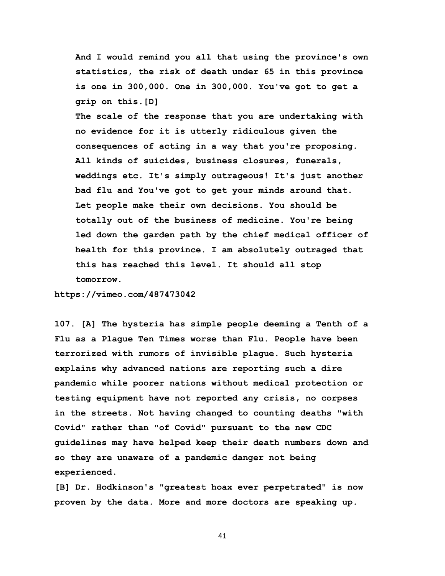**And I would remind you all that using the province's own statistics, the risk of death under 65 in this province is one in 300,000. One in 300,000. You've got to get a grip on this.[D]** 

 **The scale of the response that you are undertaking with no evidence for it is utterly ridiculous given the consequences of acting in a way that you're proposing. All kinds of suicides, business closures, funerals, weddings etc. It's simply outrageous! It's just another bad flu and You've got to get your minds around that. Let people make their own decisions. You should be totally out of the business of medicine. You're being led down the garden path by the chief medical officer of health for this province. I am absolutely outraged that this has reached this level. It should all stop tomorrow.**

**https://vimeo.com/487473042** 

**107. [A] The hysteria has simple people deeming a Tenth of a Flu as a Plague Ten Times worse than Flu. People have been terrorized with rumors of invisible plague. Such hysteria explains why advanced nations are reporting such a dire pandemic while poorer nations without medical protection or testing equipment have not reported any crisis, no corpses in the streets. Not having changed to counting deaths "with Covid" rather than "of Covid" pursuant to the new CDC guidelines may have helped keep their death numbers down and so they are unaware of a pandemic danger not being experienced.** 

**[B] Dr. Hodkinson's "greatest hoax ever perpetrated" is now proven by the data. More and more doctors are speaking up.**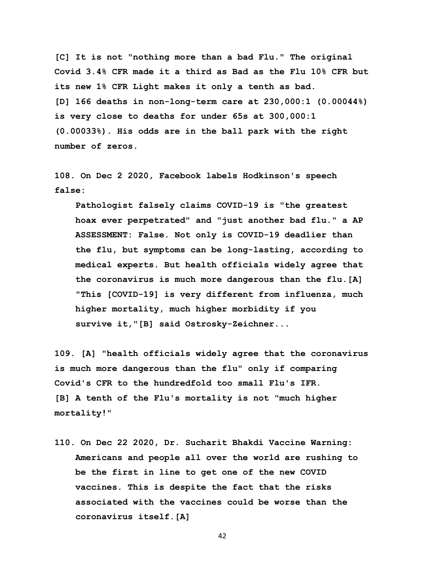**[C] It is not "nothing more than a bad Flu." The original Covid 3.4% CFR made it a third as Bad as the Flu 10% CFR but its new 1% CFR Light makes it only a tenth as bad. [D] 166 deaths in non-long-term care at 230,000:1 (0.00044%) is very close to deaths for under 65s at 300,000:1 (0.00033%). His odds are in the ball park with the right number of zeros.** 

**108. On Dec 2 2020, Facebook labels Hodkinson's speech false:** 

 **Pathologist falsely claims COVID-19 is "the greatest hoax ever perpetrated" and "just another bad flu." a AP ASSESSMENT: False. Not only is COVID-19 deadlier than the flu, but symptoms can be long-lasting, according to medical experts. But health officials widely agree that the coronavirus is much more dangerous than the flu.[A] "This [COVID-19] is very different from influenza, much higher mortality, much higher morbidity if you survive it,"[B] said Ostrosky-Zeichner...** 

**109. [A] "health officials widely agree that the coronavirus is much more dangerous than the flu" only if comparing Covid's CFR to the hundredfold too small Flu's IFR. [B] A tenth of the Flu's mortality is not "much higher mortality!"** 

**110. On Dec 22 2020, Dr. Sucharit Bhakdi Vaccine Warning: Americans and people all over the world are rushing to be the first in line to get one of the new COVID vaccines. This is despite the fact that the risks associated with the vaccines could be worse than the coronavirus itself.[A]**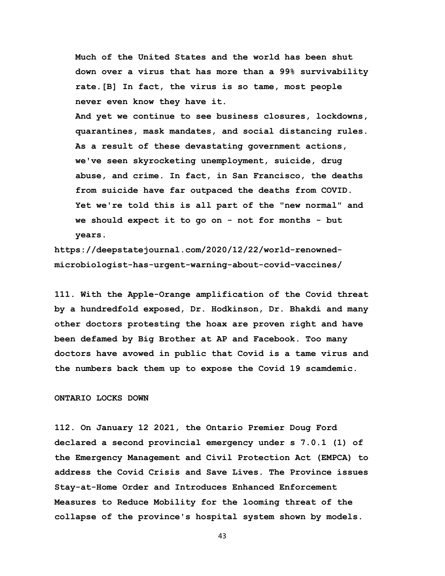**Much of the United States and the world has been shut down over a virus that has more than a 99% survivability rate.[B] In fact, the virus is so tame, most people never even know they have it.**

 **And yet we continue to see business closures, lockdowns, quarantines, mask mandates, and social distancing rules. As a result of these devastating government actions, we've seen skyrocketing unemployment, suicide, drug abuse, and crime. In fact, in San Francisco, the deaths from suicide have far outpaced the deaths from COVID. Yet we're told this is all part of the "new normal" and we should expect it to go on - not for months - but years.**

**https://deepstatejournal.com/2020/12/22/world-renownedmicrobiologist-has-urgent-warning-about-covid-vaccines/** 

**111. With the Apple-Orange amplification of the Covid threat by a hundredfold exposed, Dr. Hodkinson, Dr. Bhakdi and many other doctors protesting the hoax are proven right and have been defamed by Big Brother at AP and Facebook. Too many doctors have avowed in public that Covid is a tame virus and the numbers back them up to expose the Covid 19 scamdemic.** 

## **ONTARIO LOCKS DOWN**

**112. On January 12 2021, the Ontario Premier Doug Ford declared a second provincial emergency under s 7.0.1 (1) of the Emergency Management and Civil Protection Act (EMPCA) to address the Covid Crisis and Save Lives. The Province issues Stay-at-Home Order and Introduces Enhanced Enforcement Measures to Reduce Mobility for the looming threat of the collapse of the province's hospital system shown by models.**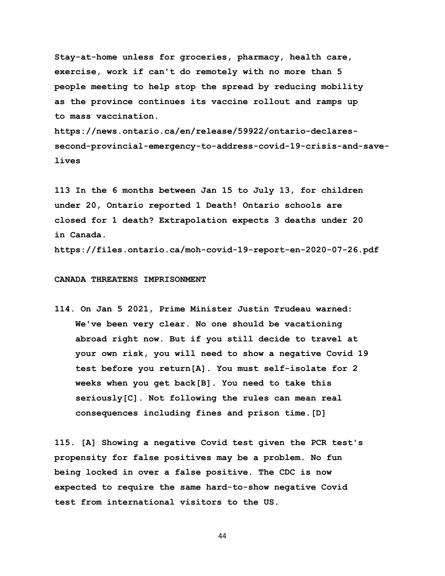**Stay-at-home unless for groceries, pharmacy, health care, exercise, work if can't do remotely with no more than 5 people meeting to help stop the spread by reducing mobility as the province continues its vaccine rollout and ramps up to mass vaccination.**

**https://news.ontario.ca/en/release/59922/ontario-declaressecond-provincial-emergency-to-address-covid-19-crisis-and-savelives** 

**113 In the 6 months between Jan 15 to July 13, for children under 20, Ontario reported 1 Death! Ontario schools are closed for 1 death? Extrapolation expects 3 deaths under 20 in Canada.** 

**https://files.ontario.ca/moh-covid-19-report-en-2020-07-26.pdf** 

### **CANADA THREATENS IMPRISONMENT**

**114. On Jan 5 2021, Prime Minister Justin Trudeau warned: We've been very clear. No one should be vacationing abroad right now. But if you still decide to travel at your own risk, you will need to show a negative Covid 19 test before you return[A]. You must self-isolate for 2 weeks when you get back[B]. You need to take this seriously[C]. Not following the rules can mean real consequences including fines and prison time.[D]** 

**115. [A] Showing a negative Covid test given the PCR test's propensity for false positives may be a problem. No fun being locked in over a false positive. The CDC is now expected to require the same hard-to-show negative Covid test from international visitors to the US.**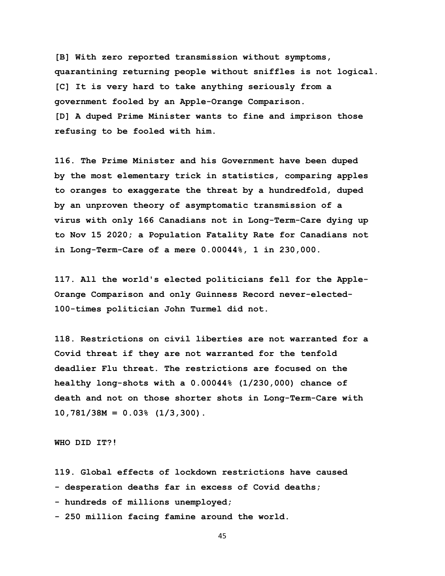**[B] With zero reported transmission without symptoms, quarantining returning people without sniffles is not logical. [C] It is very hard to take anything seriously from a government fooled by an Apple-Orange Comparison. [D] A duped Prime Minister wants to fine and imprison those refusing to be fooled with him.** 

**116. The Prime Minister and his Government have been duped by the most elementary trick in statistics, comparing apples to oranges to exaggerate the threat by a hundredfold, duped by an unproven theory of asymptomatic transmission of a virus with only 166 Canadians not in Long-Term-Care dying up to Nov 15 2020; a Population Fatality Rate for Canadians not in Long-Term-Care of a mere 0.00044%, 1 in 230,000.**

**117. All the world's elected politicians fell for the Apple-Orange Comparison and only Guinness Record never-elected-100-times politician John Turmel did not.** 

**118. Restrictions on civil liberties are not warranted for a Covid threat if they are not warranted for the tenfold deadlier Flu threat. The restrictions are focused on the healthy long-shots with a 0.00044% (1/230,000) chance of death and not on those shorter shots in Long-Term-Care with 10,781/38M = 0.03% (1/3,300).** 

**WHO DID IT?!**

**119. Global effects of lockdown restrictions have caused** 

**- desperation deaths far in excess of Covid deaths;** 

**- hundreds of millions unemployed;** 

**- 250 million facing famine around the world.**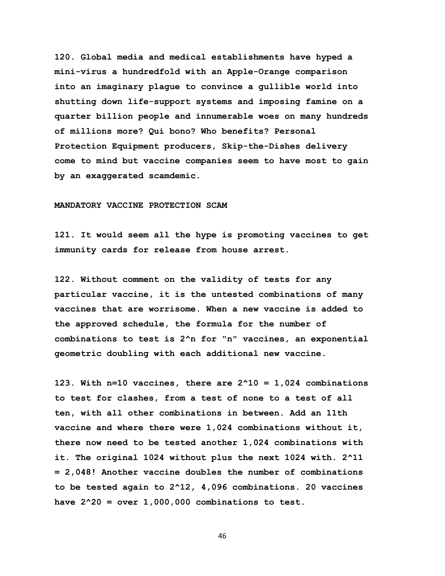**120. Global media and medical establishments have hyped a mini-virus a hundredfold with an Apple-Orange comparison into an imaginary plague to convince a gullible world into shutting down life-support systems and imposing famine on a quarter billion people and innumerable woes on many hundreds of millions more? Qui bono? Who benefits? Personal Protection Equipment producers, Skip-the-Dishes delivery come to mind but vaccine companies seem to have most to gain by an exaggerated scamdemic.** 

#### **MANDATORY VACCINE PROTECTION SCAM**

**121. It would seem all the hype is promoting vaccines to get immunity cards for release from house arrest.** 

**122. Without comment on the validity of tests for any particular vaccine, it is the untested combinations of many vaccines that are worrisome. When a new vaccine is added to the approved schedule, the formula for the number of combinations to test is 2^n for "n" vaccines, an exponential geometric doubling with each additional new vaccine.** 

**123. With n=10 vaccines, there are 2^10 = 1,024 combinations to test for clashes, from a test of none to a test of all ten, with all other combinations in between. Add an 11th vaccine and where there were 1,024 combinations without it, there now need to be tested another 1,024 combinations with it. The original 1024 without plus the next 1024 with. 2^11 = 2,048! Another vaccine doubles the number of combinations to be tested again to 2^12, 4,096 combinations. 20 vaccines have 2^20 = over 1,000,000 combinations to test.**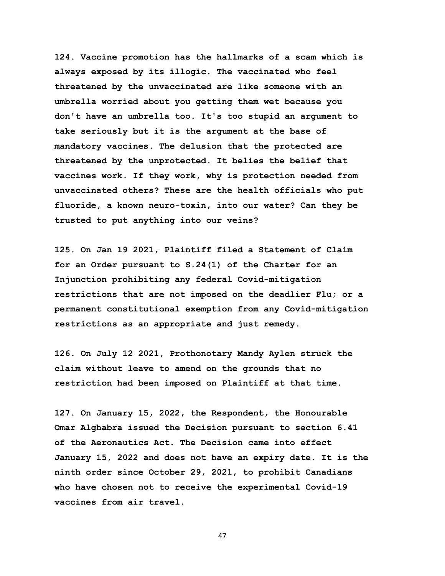**124. Vaccine promotion has the hallmarks of a scam which is always exposed by its illogic. The vaccinated who feel threatened by the unvaccinated are like someone with an umbrella worried about you getting them wet because you don't have an umbrella too. It's too stupid an argument to take seriously but it is the argument at the base of mandatory vaccines. The delusion that the protected are threatened by the unprotected. It belies the belief that vaccines work. If they work, why is protection needed from unvaccinated others? These are the health officials who put fluoride, a known neuro-toxin, into our water? Can they be trusted to put anything into our veins?** 

**125. On Jan 19 2021, Plaintiff filed a Statement of Claim for an Order pursuant to S.24(1) of the Charter for an Injunction prohibiting any federal Covid-mitigation restrictions that are not imposed on the deadlier Flu; or a permanent constitutional exemption from any Covid-mitigation restrictions as an appropriate and just remedy.** 

**126. On July 12 2021, Prothonotary Mandy Aylen struck the claim without leave to amend on the grounds that no restriction had been imposed on Plaintiff at that time.** 

**127. On January 15, 2022, the Respondent, the Honourable Omar Alghabra issued the Decision pursuant to section 6.41 of the Aeronautics Act. The Decision came into effect January 15, 2022 and does not have an expiry date. It is the ninth order since October 29, 2021, to prohibit Canadians who have chosen not to receive the experimental Covid-19 vaccines from air travel.**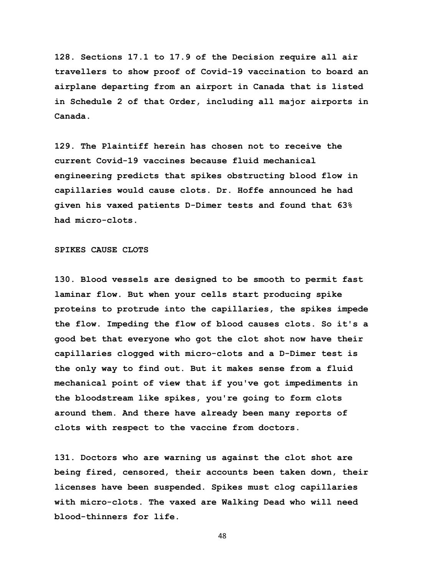**128. Sections 17.1 to 17.9 of the Decision require all air travellers to show proof of Covid-19 vaccination to board an airplane departing from an airport in Canada that is listed in Schedule 2 of that Order, including all major airports in Canada.**

**129. The Plaintiff herein has chosen not to receive the current Covid-19 vaccines because fluid mechanical engineering predicts that spikes obstructing blood flow in capillaries would cause clots. Dr. Hoffe announced he had given his vaxed patients D-Dimer tests and found that 63% had micro-clots.** 

## **SPIKES CAUSE CLOTS**

**130. Blood vessels are designed to be smooth to permit fast laminar flow. But when your cells start producing spike proteins to protrude into the capillaries, the spikes impede the flow. Impeding the flow of blood causes clots. So it's a good bet that everyone who got the clot shot now have their capillaries clogged with micro-clots and a D-Dimer test is the only way to find out. But it makes sense from a fluid mechanical point of view that if you've got impediments in the bloodstream like spikes, you're going to form clots around them. And there have already been many reports of clots with respect to the vaccine from doctors.** 

**131. Doctors who are warning us against the clot shot are being fired, censored, their accounts been taken down, their licenses have been suspended. Spikes must clog capillaries with micro-clots. The vaxed are Walking Dead who will need blood-thinners for life.**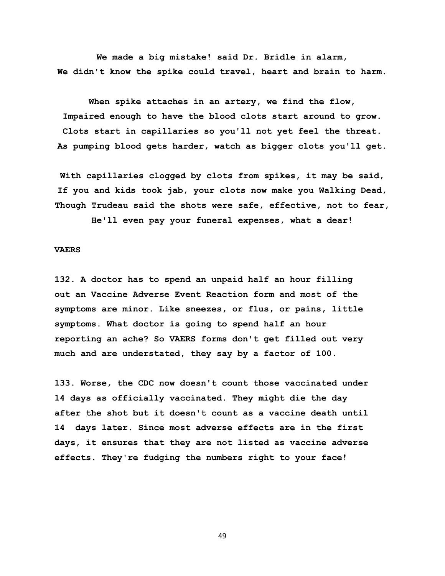**We made a big mistake! said Dr. Bridle in alarm, We didn't know the spike could travel, heart and brain to harm.**

**When spike attaches in an artery, we find the flow, Impaired enough to have the blood clots start around to grow. Clots start in capillaries so you'll not yet feel the threat. As pumping blood gets harder, watch as bigger clots you'll get.**

**With capillaries clogged by clots from spikes, it may be said, If you and kids took jab, your clots now make you Walking Dead, Though Trudeau said the shots were safe, effective, not to fear,**

**He'll even pay your funeral expenses, what a dear!**

## **VAERS**

**132. A doctor has to spend an unpaid half an hour filling out an Vaccine Adverse Event Reaction form and most of the symptoms are minor. Like sneezes, or flus, or pains, little symptoms. What doctor is going to spend half an hour reporting an ache? So VAERS forms don't get filled out very much and are understated, they say by a factor of 100.** 

**133. Worse, the CDC now doesn't count those vaccinated under 14 days as officially vaccinated. They might die the day after the shot but it doesn't count as a vaccine death until 14 days later. Since most adverse effects are in the first days, it ensures that they are not listed as vaccine adverse effects. They're fudging the numbers right to your face!**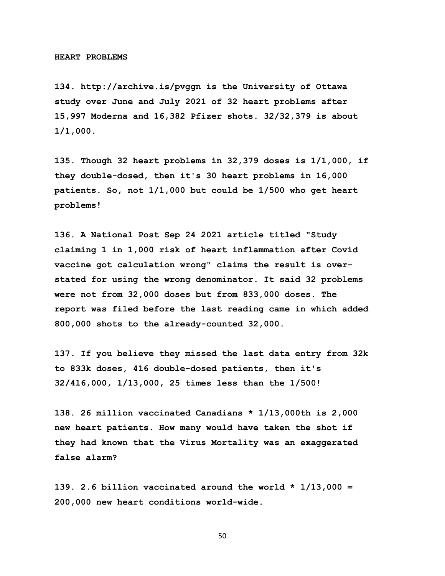**134. http://archive.is/pvggn is the University of Ottawa study over June and July 2021 of 32 heart problems after 15,997 Moderna and 16,382 Pfizer shots. 32/32,379 is about 1/1,000.** 

**135. Though 32 heart problems in 32,379 doses is 1/1,000, if they double-dosed, then it's 30 heart problems in 16,000 patients. So, not 1/1,000 but could be 1/500 who get heart problems!** 

**136. A National Post Sep 24 2021 article titled "Study claiming 1 in 1,000 risk of heart inflammation after Covid vaccine got calculation wrong" claims the result is overstated for using the wrong denominator. It said 32 problems were not from 32,000 doses but from 833,000 doses. The report was filed before the last reading came in which added 800,000 shots to the already-counted 32,000.** 

**137. If you believe they missed the last data entry from 32k to 833k doses, 416 double-dosed patients, then it's 32/416,000, 1/13,000, 25 times less than the 1/500!** 

**138. 26 million vaccinated Canadians \* 1/13,000th is 2,000 new heart patients. How many would have taken the shot if they had known that the Virus Mortality was an exaggerated false alarm?** 

**139. 2.6 billion vaccinated around the world \* 1/13,000 = 200,000 new heart conditions world-wide.**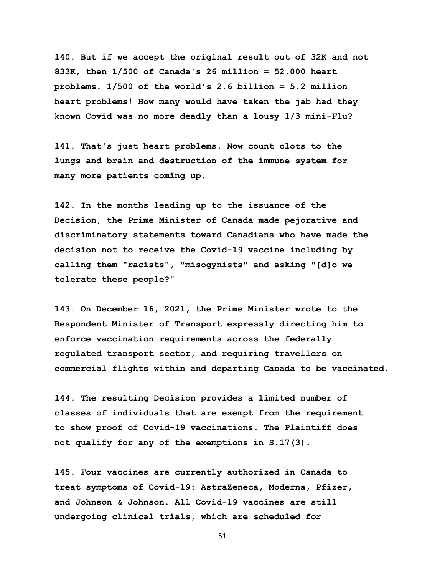**140. But if we accept the original result out of 32K and not 833K, then 1/500 of Canada's 26 million = 52,000 heart problems. 1/500 of the world's 2.6 billion = 5.2 million heart problems! How many would have taken the jab had they known Covid was no more deadly than a lousy 1/3 mini-Flu?** 

**141. That's just heart problems. Now count clots to the lungs and brain and destruction of the immune system for many more patients coming up.** 

**142. In the months leading up to the issuance of the Decision, the Prime Minister of Canada made pejorative and discriminatory statements toward Canadians who have made the decision not to receive the Covid-19 vaccine including by calling them "racists", "misogynists" and asking "[d]o we tolerate these people?"**

**143. On December 16, 2021, the Prime Minister wrote to the Respondent Minister of Transport expressly directing him to enforce vaccination requirements across the federally regulated transport sector, and requiring travellers on commercial flights within and departing Canada to be vaccinated.**

**144. The resulting Decision provides a limited number of classes of individuals that are exempt from the requirement to show proof of Covid-19 vaccinations. The Plaintiff does not qualify for any of the exemptions in S.17(3).** 

**145. Four vaccines are currently authorized in Canada to treat symptoms of Covid-19: AstraZeneca, Moderna, Pfizer, and Johnson & Johnson. All Covid-19 vaccines are still undergoing clinical trials, which are scheduled for**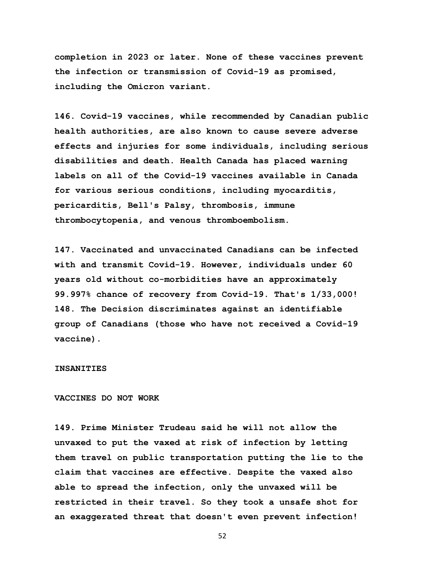**completion in 2023 or later. None of these vaccines prevent the infection or transmission of Covid-19 as promised, including the Omicron variant.**

**146. Covid-19 vaccines, while recommended by Canadian public health authorities, are also known to cause severe adverse effects and injuries for some individuals, including serious disabilities and death. Health Canada has placed warning labels on all of the Covid-19 vaccines available in Canada for various serious conditions, including myocarditis, pericarditis, Bell's Palsy, thrombosis, immune thrombocytopenia, and venous thromboembolism.** 

**147. Vaccinated and unvaccinated Canadians can be infected with and transmit Covid-19. However, individuals under 60 years old without co-morbidities have an approximately 99.997% chance of recovery from Covid-19. That's 1/33,000! 148. The Decision discriminates against an identifiable group of Canadians (those who have not received a Covid-19 vaccine).** 

## **INSANITIES**

## **VACCINES DO NOT WORK**

**149. Prime Minister Trudeau said he will not allow the unvaxed to put the vaxed at risk of infection by letting them travel on public transportation putting the lie to the claim that vaccines are effective. Despite the vaxed also able to spread the infection, only the unvaxed will be restricted in their travel. So they took a unsafe shot for an exaggerated threat that doesn't even prevent infection!**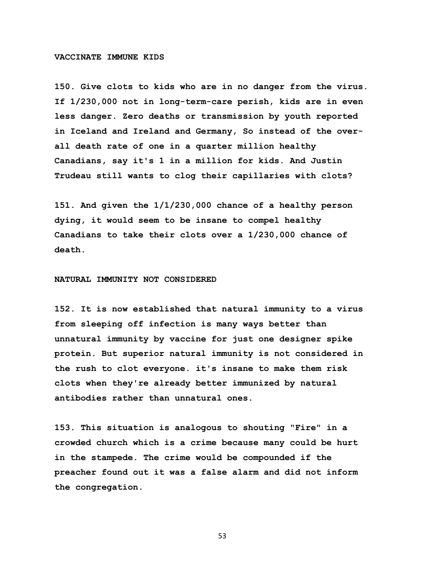#### **VACCINATE IMMUNE KIDS**

**150. Give clots to kids who are in no danger from the virus. If 1/230,000 not in long-term-care perish, kids are in even less danger. Zero deaths or transmission by youth reported in Iceland and Ireland and Germany, So instead of the overall death rate of one in a quarter million healthy Canadians, say it's 1 in a million for kids. And Justin Trudeau still wants to clog their capillaries with clots?** 

**151. And given the 1/1/230,000 chance of a healthy person dying, it would seem to be insane to compel healthy Canadians to take their clots over a 1/230,000 chance of death.** 

## **NATURAL IMMUNITY NOT CONSIDERED**

**152. It is now established that natural immunity to a virus from sleeping off infection is many ways better than unnatural immunity by vaccine for just one designer spike protein. But superior natural immunity is not considered in the rush to clot everyone. it's insane to make them risk clots when they're already better immunized by natural antibodies rather than unnatural ones.** 

**153. This situation is analogous to shouting "Fire" in a crowded church which is a crime because many could be hurt in the stampede. The crime would be compounded if the preacher found out it was a false alarm and did not inform the congregation.**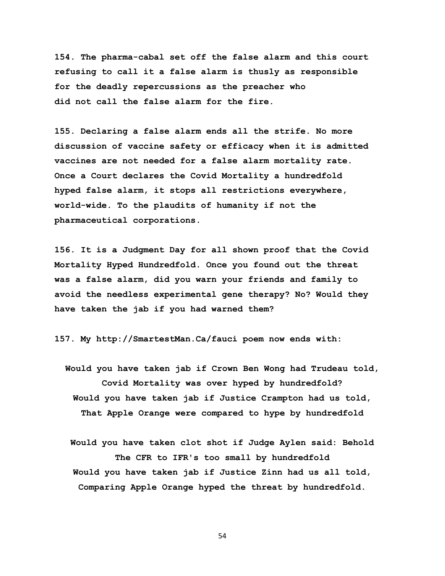**154. The pharma-cabal set off the false alarm and this court refusing to call it a false alarm is thusly as responsible for the deadly repercussions as the preacher who did not call the false alarm for the fire.** 

**155. Declaring a false alarm ends all the strife. No more discussion of vaccine safety or efficacy when it is admitted vaccines are not needed for a false alarm mortality rate. Once a Court declares the Covid Mortality a hundredfold hyped false alarm, it stops all restrictions everywhere, world-wide. To the plaudits of humanity if not the pharmaceutical corporations.** 

**156. It is a Judgment Day for all shown proof that the Covid Mortality Hyped Hundredfold. Once you found out the threat was a false alarm, did you warn your friends and family to avoid the needless experimental gene therapy? No? Would they have taken the jab if you had warned them?** 

**157. My http://SmartestMan.Ca/fauci poem now ends with:**

- **Would you have taken jab if Crown Ben Wong had Trudeau told, Covid Mortality was over hyped by hundredfold? Would you have taken jab if Justice Crampton had us told, That Apple Orange were compared to hype by hundredfold**
	- **Would you have taken clot shot if Judge Aylen said: Behold The CFR to IFR's too small by hundredfold Would you have taken jab if Justice Zinn had us all told, Comparing Apple Orange hyped the threat by hundredfold.**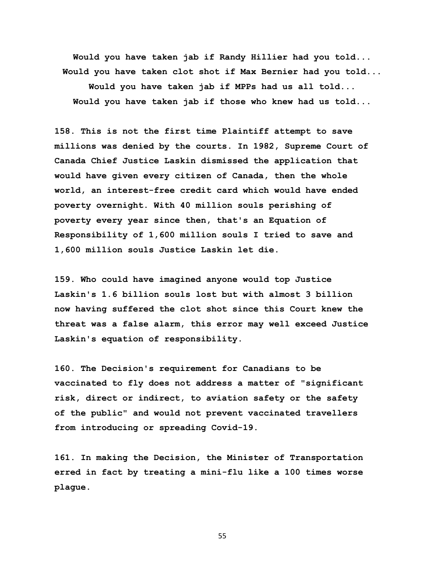**Would you have taken jab if Randy Hillier had you told... Would you have taken clot shot if Max Bernier had you told... Would you have taken jab if MPPs had us all told... Would you have taken jab if those who knew had us told...**

**158. This is not the first time Plaintiff attempt to save millions was denied by the courts. In 1982, Supreme Court of Canada Chief Justice Laskin dismissed the application that would have given every citizen of Canada, then the whole world, an interest-free credit card which would have ended poverty overnight. With 40 million souls perishing of poverty every year since then, that's an Equation of Responsibility of 1,600 million souls I tried to save and 1,600 million souls Justice Laskin let die.** 

**159. Who could have imagined anyone would top Justice Laskin's 1.6 billion souls lost but with almost 3 billion now having suffered the clot shot since this Court knew the threat was a false alarm, this error may well exceed Justice Laskin's equation of responsibility.** 

**160. The Decision's requirement for Canadians to be vaccinated to fly does not address a matter of "significant risk, direct or indirect, to aviation safety or the safety of the public" and would not prevent vaccinated travellers from introducing or spreading Covid-19.** 

**161. In making the Decision, the Minister of Transportation erred in fact by treating a mini-flu like a 100 times worse plague.**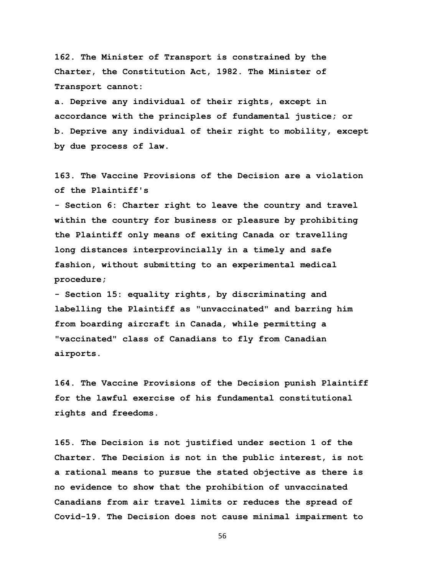**162. The Minister of Transport is constrained by the Charter, the Constitution Act, 1982. The Minister of Transport cannot:** 

**a. Deprive any individual of their rights, except in accordance with the principles of fundamental justice; or b. Deprive any individual of their right to mobility, except by due process of law.**

**163. The Vaccine Provisions of the Decision are a violation of the Plaintiff's** 

**- Section 6: Charter right to leave the country and travel within the country for business or pleasure by prohibiting the Plaintiff only means of exiting Canada or travelling long distances interprovincially in a timely and safe fashion, without submitting to an experimental medical procedure;**

**- Section 15: equality rights, by discriminating and labelling the Plaintiff as "unvaccinated" and barring him from boarding aircraft in Canada, while permitting a "vaccinated" class of Canadians to fly from Canadian airports.** 

**164. The Vaccine Provisions of the Decision punish Plaintiff for the lawful exercise of his fundamental constitutional rights and freedoms.** 

**165. The Decision is not justified under section 1 of the Charter. The Decision is not in the public interest, is not a rational means to pursue the stated objective as there is no evidence to show that the prohibition of unvaccinated Canadians from air travel limits or reduces the spread of Covid-19. The Decision does not cause minimal impairment to**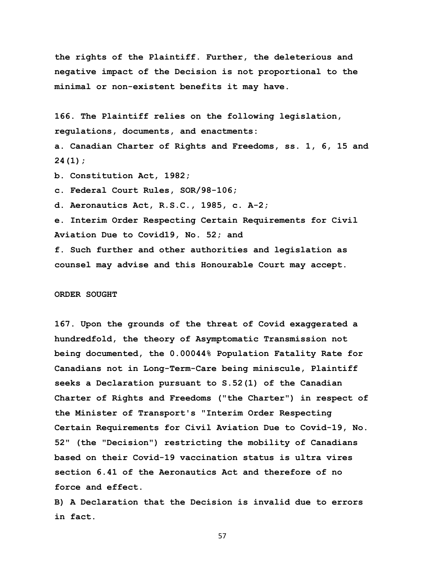**the rights of the Plaintiff. Further, the deleterious and negative impact of the Decision is not proportional to the minimal or non-existent benefits it may have.** 

**166. The Plaintiff relies on the following legislation, regulations, documents, and enactments:**

**a. Canadian Charter of Rights and Freedoms, ss. 1, 6, 15 and 24(1);**

**b. Constitution Act, 1982;**

**c. Federal Court Rules, SOR/98-106;**

**d. Aeronautics Act, R.S.C., 1985, c. A-2;**

**e. Interim Order Respecting Certain Requirements for Civil Aviation Due to Covid19, No. 52; and f. Such further and other authorities and legislation as counsel may advise and this Honourable Court may accept.**

#### **ORDER SOUGHT**

**167. Upon the grounds of the threat of Covid exaggerated a hundredfold, the theory of Asymptomatic Transmission not being documented, the 0.00044% Population Fatality Rate for Canadians not in Long-Term-Care being miniscule, Plaintiff seeks a Declaration pursuant to S.52(1) of the Canadian Charter of Rights and Freedoms ("the Charter") in respect of the Minister of Transport's "Interim Order Respecting Certain Requirements for Civil Aviation Due to Covid-19, No. 52" (the "Decision") restricting the mobility of Canadians based on their Covid-19 vaccination status is ultra vires section 6.41 of the Aeronautics Act and therefore of no force and effect.** 

**B) A Declaration that the Decision is invalid due to errors in fact.**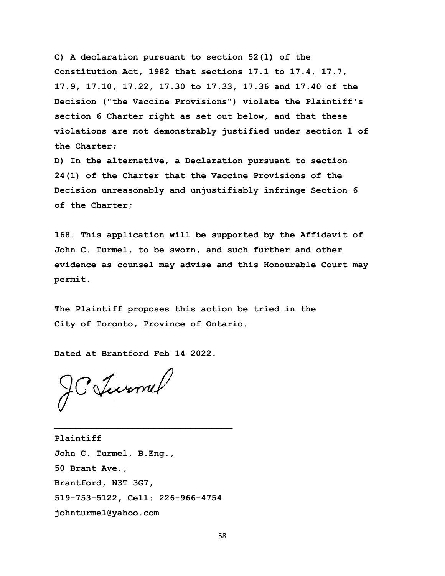**C) A declaration pursuant to section 52(1) of the Constitution Act, 1982 that sections 17.1 to 17.4, 17.7, 17.9, 17.10, 17.22, 17.30 to 17.33, 17.36 and 17.40 of the Decision ("the Vaccine Provisions") violate the Plaintiff's section 6 Charter right as set out below, and that these violations are not demonstrably justified under section 1 of the Charter;**

**D) In the alternative, a Declaration pursuant to section 24(1) of the Charter that the Vaccine Provisions of the Decision unreasonably and unjustifiably infringe Section 6 of the Charter;** 

**168. This application will be supported by the Affidavit of John C. Turmel, to be sworn, and such further and other evidence as counsel may advise and this Honourable Court may permit.**

**The Plaintiff proposes this action be tried in the City of Toronto, Province of Ontario.**

**Dated at Brantford Feb 14 2022.** 

JC Jurnel

**Plaintiff John C. Turmel, B.Eng., 50 Brant Ave., Brantford, N3T 3G7, 519-753-5122, Cell: 226-966-4754 johnturmel@yahoo.com**